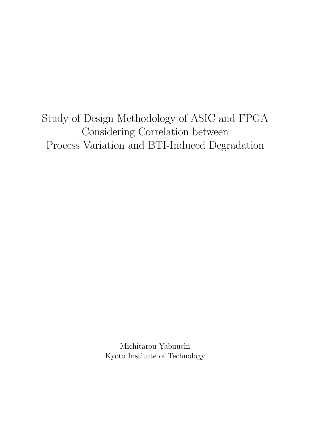Study of Design Methodology of ASIC and FPGA Considering Correlation between Process Variation and BTI-Induced Degradation

> Michitarou Yabuuchi Kyoto Institute of Technology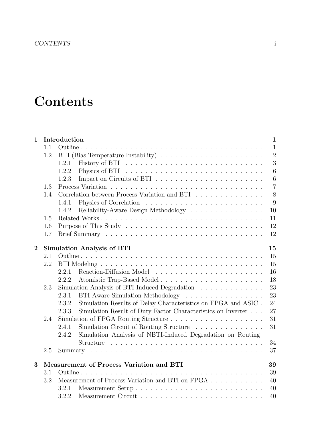# **Contents**

| $\mathbf{1}$                                        |                                                | Introduction                                                                     | $\mathbf{1}$   |  |  |  |  |
|-----------------------------------------------------|------------------------------------------------|----------------------------------------------------------------------------------|----------------|--|--|--|--|
|                                                     | 1.1                                            |                                                                                  | $\mathbf{1}$   |  |  |  |  |
|                                                     | 1.2                                            |                                                                                  | $\overline{2}$ |  |  |  |  |
|                                                     |                                                | 1.2.1                                                                            | 3              |  |  |  |  |
|                                                     |                                                | 1.2.2                                                                            | $\overline{6}$ |  |  |  |  |
|                                                     |                                                | 1.2.3                                                                            | 6              |  |  |  |  |
|                                                     | 1.3                                            |                                                                                  | $\overline{7}$ |  |  |  |  |
|                                                     | 1.4                                            | Correlation between Process Variation and BTI                                    | 8              |  |  |  |  |
|                                                     |                                                | 1.4.1                                                                            | 9              |  |  |  |  |
|                                                     |                                                | Reliability-Aware Design Methodology<br>1.4.2                                    | 10             |  |  |  |  |
|                                                     | 1.5                                            |                                                                                  | 11             |  |  |  |  |
|                                                     | 1.6                                            |                                                                                  | 12             |  |  |  |  |
|                                                     | 1.7                                            |                                                                                  | 12             |  |  |  |  |
| <b>Simulation Analysis of BTI</b><br>$\overline{2}$ |                                                |                                                                                  |                |  |  |  |  |
|                                                     | 2.1                                            |                                                                                  | 15             |  |  |  |  |
|                                                     | 2.2                                            |                                                                                  | 15             |  |  |  |  |
|                                                     |                                                | 2.2.1                                                                            | 16             |  |  |  |  |
|                                                     |                                                | 2.2.2                                                                            | 18             |  |  |  |  |
|                                                     | 2.3                                            | Simulation Analysis of BTI-Induced Degradation                                   | 23             |  |  |  |  |
|                                                     |                                                | BTI-Aware Simulation Methodology<br>2.3.1                                        | 23             |  |  |  |  |
|                                                     |                                                | Simulation Results of Delay Characteristics on FPGA and ASIC .<br>2.3.2          | 24             |  |  |  |  |
|                                                     |                                                | Simulation Result of Duty Factor Characteristics on Inverter $\ldots$ .<br>2.3.3 | 27             |  |  |  |  |
|                                                     | 2.4                                            | Simulation of FPGA Routing Structure                                             | 31             |  |  |  |  |
|                                                     |                                                | Simulation Circuit of Routing Structure<br>2.4.1                                 | 31             |  |  |  |  |
|                                                     |                                                | Simulation Analysis of NBTI-Induced Degradation on Routing<br>2.4.2              |                |  |  |  |  |
|                                                     |                                                |                                                                                  | 34             |  |  |  |  |
|                                                     | 2.5                                            |                                                                                  | 37             |  |  |  |  |
| 3                                                   | Measurement of Process Variation and BTI<br>39 |                                                                                  |                |  |  |  |  |
|                                                     | 3.1                                            |                                                                                  | 39             |  |  |  |  |
|                                                     | 3.2                                            | Measurement of Process Variation and BTI on FPGA                                 | 40             |  |  |  |  |
|                                                     |                                                | 3.2.1                                                                            | 40             |  |  |  |  |
|                                                     |                                                | 3.2.2                                                                            | 40             |  |  |  |  |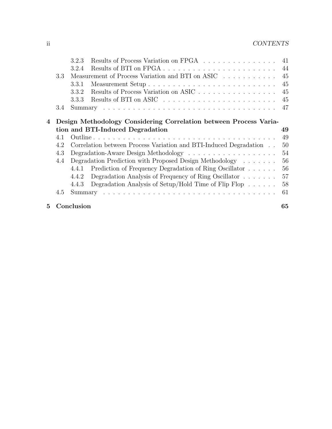|   | 4.2<br>4.3<br>4.4<br>4.5                                          | 4.4.2<br>4.4.3 | Correlation between Process Variation and BTI-Induced Degradation<br>Degradation Prediction with Proposed Design Methodology<br>4.4.1 Prediction of Frequency Degradation of Ring Oscillator<br>Degradation Analysis of Frequency of Ring Oscillator<br>Degradation Analysis of Setup/Hold Time of Flip Flop | 50<br>54<br>56<br>56<br>57<br>58<br>61 |  |  |  |
|---|-------------------------------------------------------------------|----------------|--------------------------------------------------------------------------------------------------------------------------------------------------------------------------------------------------------------------------------------------------------------------------------------------------------------|----------------------------------------|--|--|--|
|   |                                                                   |                |                                                                                                                                                                                                                                                                                                              |                                        |  |  |  |
|   |                                                                   |                |                                                                                                                                                                                                                                                                                                              |                                        |  |  |  |
|   |                                                                   |                |                                                                                                                                                                                                                                                                                                              |                                        |  |  |  |
|   |                                                                   |                |                                                                                                                                                                                                                                                                                                              |                                        |  |  |  |
|   |                                                                   |                |                                                                                                                                                                                                                                                                                                              |                                        |  |  |  |
|   |                                                                   |                |                                                                                                                                                                                                                                                                                                              |                                        |  |  |  |
|   |                                                                   |                |                                                                                                                                                                                                                                                                                                              |                                        |  |  |  |
|   | 4.1                                                               |                |                                                                                                                                                                                                                                                                                                              | 49                                     |  |  |  |
|   |                                                                   |                | tion and BTI-Induced Degradation                                                                                                                                                                                                                                                                             | 49                                     |  |  |  |
| 4 | Design Methodology Considering Correlation between Process Varia- |                |                                                                                                                                                                                                                                                                                                              |                                        |  |  |  |
|   | 3.4                                                               |                |                                                                                                                                                                                                                                                                                                              | 47                                     |  |  |  |
|   |                                                                   | 3.3.3          |                                                                                                                                                                                                                                                                                                              | 45                                     |  |  |  |
|   |                                                                   | 3.3.2          | Results of Process Variation on ASIC                                                                                                                                                                                                                                                                         | 45                                     |  |  |  |
|   |                                                                   | 3.3.1          |                                                                                                                                                                                                                                                                                                              | 45                                     |  |  |  |
|   | 3.3                                                               |                | Measurement of Process Variation and BTI on ASIC                                                                                                                                                                                                                                                             | 45                                     |  |  |  |
|   |                                                                   | 3.2.4          |                                                                                                                                                                                                                                                                                                              | 44                                     |  |  |  |
|   |                                                                   |                |                                                                                                                                                                                                                                                                                                              |                                        |  |  |  |
|   |                                                                   | 3.2.3          | Results of Process Variation on FPGA                                                                                                                                                                                                                                                                         |                                        |  |  |  |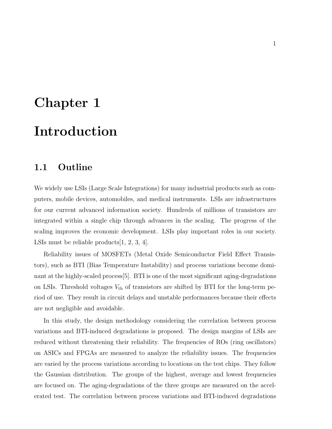# **Chapter 1 Introduction**

### **1.1 Outline**

We widely use LSIs (Large Scale Integrations) for many industrial products such as computers, mobile devices, automobiles, and medical instruments. LSIs are infrastructures for our current advanced information society. Hundreds of millions of transistors are integrated within a single chip through advances in the scaling. The progress of the scaling improves the economic development. LSIs play important roles in our society. LSIs must be reliable products[1, 2, 3, 4].

Reliability issues of MOSFETs (Metal Oxide Semiconductor Field Effect Transistors), such as BTI (Bias Temperature Instability) and process variations become dominant at the highly-scaled process[5]. BTI is one of the most significant aging-degradations on LSIs. Threshold voltages  $V_{\text{th}}$  of transistors are shifted by BTI for the long-term period of use. They result in circuit delays and unstable performances because their effects are not negligible and avoidable.

In this study, the design methodology considering the correlation between process variations and BTI-induced degradations is proposed. The design margins of LSIs are reduced without threatening their reliability. The frequencies of ROs (ring oscillators) on ASICs and FPGAs are measured to analyze the reliability issues. The frequencies are varied by the process variations according to locations on the test chips. They follow the Gaussian distribution. The groups of the highest, average and lowest frequencies are focused on. The aging-degradations of the three groups are measured on the accelerated test. The correlation between process variations and BTI-induced degradations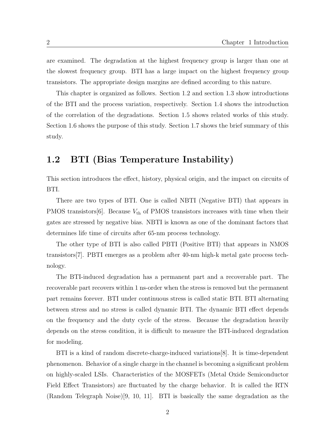are examined. The degradation at the highest frequency group is larger than one at the slowest frequency group. BTI has a large impact on the highest frequency group transistors. The appropriate design margins are defined according to this nature.

This chapter is organized as follows. Section 1.2 and section 1.3 show introductions of the BTI and the process variation, respectively. Section 1.4 shows the introduction of the correlation of the degradations. Section 1.5 shows related works of this study. Section 1.6 shows the purpose of this study. Section 1.7 shows the brief summary of this study.

# **1.2 BTI (Bias Temperature Instability)**

This section introduces the effect, history, physical origin, and the impact on circuits of BTI.

There are two types of BTI. One is called NBTI (Negative BTI) that appears in PMOS transistors $[6]$ . Because  $V_{\text{th}}$  of PMOS transistors increases with time when their gates are stressed by negative bias. NBTI is known as one of the dominant factors that determines life time of circuits after 65-nm process technology.

The other type of BTI is also called PBTI (Positive BTI) that appears in NMOS transistors[7]. PBTI emerges as a problem after 40-nm high-k metal gate process technology.

The BTI-induced degradation has a permanent part and a recoverable part. The recoverable part recovers within 1 ns-order when the stress is removed but the permanent part remains forever. BTI under continuous stress is called static BTI. BTI alternating between stress and no stress is called dynamic BTI. The dynamic BTI effect depends on the frequency and the duty cycle of the stress. Because the degradation heavily depends on the stress condition, it is difficult to measure the BTI-induced degradation for modeling.

BTI is a kind of random discrete-charge-induced variations[8]. It is time-dependent phenomenon. Behavior of a single charge in the channel is becoming a significant problem on highly-scaled LSIs. Characteristics of the MOSFETs (Metal Oxide Semiconductor Field Effect Transistors) are fluctuated by the charge behavior. It is called the RTN (Random Telegraph Noise)[9, 10, 11]. BTI is basically the same degradation as the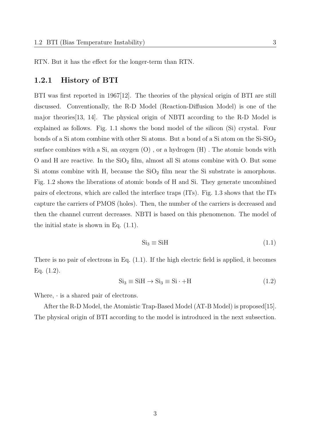RTN. But it has the effect for the longer-term than RTN.

#### **1.2.1 History of BTI**

BTI was first reported in 1967[12]. The theories of the physical origin of BTI are still discussed. Conventionally, the R-D Model (Reaction-Diffusion Model) is one of the major theories[13, 14]. The physical origin of NBTI according to the R-D Model is explained as follows. Fig. 1.1 shows the bond model of the silicon (Si) crystal. Four bonds of a Si atom combine with other Si atoms. But a bond of a Si atom on the  $Si-SiO<sub>2</sub>$ surface combines with a Si, an oxygen  $(O)$ , or a hydrogen  $(H)$ . The atomic bonds with O and H are reactive. In the  $SiO<sub>2</sub>$  film, almost all Si atoms combine with O. But some Si atoms combine with H, because the  $SiO<sub>2</sub>$  film near the Si substrate is amorphous. Fig. 1.2 shows the liberations of atomic bonds of H and Si. They generate uncombined pairs of electrons, which are called the interface traps (ITs). Fig. 1.3 shows that the ITs capture the carriers of PMOS (holes). Then, the number of the carriers is decreased and then the channel current decreases. NBTI is based on this phenomenon. The model of the initial state is shown in Eq. (1.1).

$$
Si_3 \equiv SiH \tag{1.1}
$$

There is no pair of electrons in Eq.  $(1.1)$ . If the high electric field is applied, it becomes Eq.  $(1.2)$ .

$$
Si_3 \equiv SiH \rightarrow Si_3 \equiv Si \cdot + H \tag{1.2}
$$

Where, *·* is a shared pair of electrons.

After the R-D Model, the Atomistic Trap-Based Model (AT-B Model) is proposed[15]. The physical origin of BTI according to the model is introduced in the next subsection.

3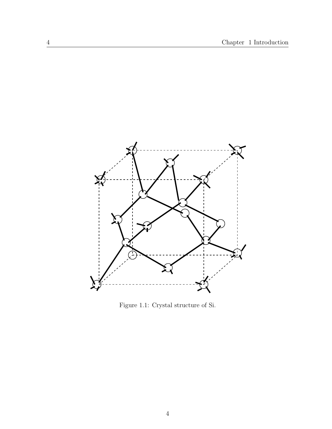

Figure 1.1: Crystal structure of Si.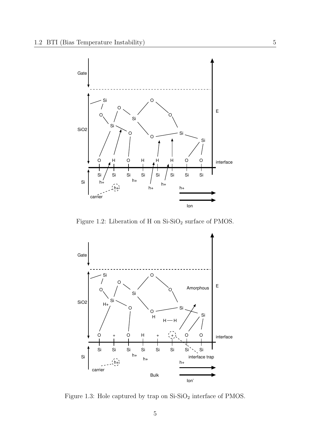

Figure 1.2: Liberation of H on  $\mathrm{Si}\text{-}\mathrm{SiO}_2$  surface of PMOS.



Figure 1.3: Hole captured by trap on  $\mathrm{Si}\text{-}\mathrm{SiO}_2$  interface of PMOS.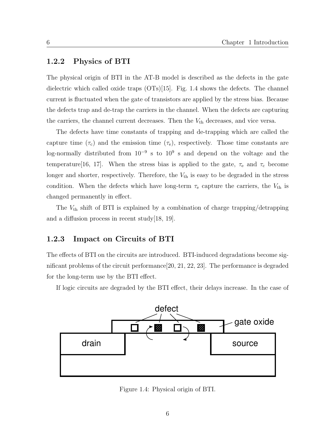#### **1.2.2 Physics of BTI**

The physical origin of BTI in the AT-B model is described as the defects in the gate dielectric which called oxide traps (OTs)[15]. Fig. 1.4 shows the defects. The channel current is fluctuated when the gate of transistors are applied by the stress bias. Because the defects trap and de-trap the carriers in the channel. When the defects are capturing the carriers, the channel current decreases. Then the  $V_{th}$  decreases, and vice versa.

The defects have time constants of trapping and de-trapping which are called the capture time  $(\tau_c)$  and the emission time  $(\tau_e)$ , respectively. Those time constants are log-normally distributed from 10*−*<sup>9</sup> s to 10<sup>9</sup> s and depend on the voltage and the temperature<sup>[16, 17].</sup> When the stress bias is applied to the gate,  $\tau_e$  and  $\tau_c$  become longer and shorter, respectively. Therefore, the  $V_{th}$  is easy to be degraded in the stress condition. When the defects which have long-term  $\tau_e$  capture the carriers, the  $V_{th}$  is changed permanently in effect.

The *V*th shift of BTI is explained by a combination of charge trapping/detrapping and a diffusion process in recent study  $[18, 19]$ .

#### **1.2.3 Impact on Circuits of BTI**

The effects of BTI on the circuits are introduced. BTI-induced degradations become significant problems of the circuit performance[20, 21, 22, 23]. The performance is degraded for the long-term use by the BTI effect.

If logic circuits are degraded by the BTI effect, their delays increase. In the case of



Figure 1.4: Physical origin of BTI.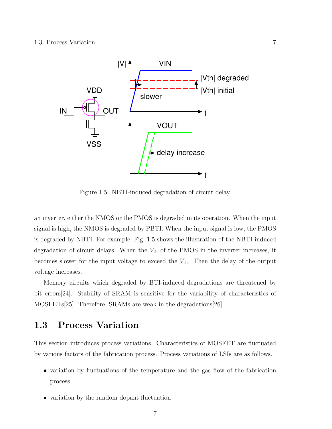

Figure 1.5: NBTI-induced degradation of circuit delay.

an inverter, either the NMOS or the PMOS is degraded in its operation. When the input signal is high, the NMOS is degraded by PBTI. When the input signal is low, the PMOS is degraded by NBTI. For example, Fig. 1.5 shows the illustration of the NBTI-induced degradation of circuit delays. When the  $V_{th}$  of the PMOS in the inverter increases, it becomes slower for the input voltage to exceed the  $V_{th}$ . Then the delay of the output voltage increases.

Memory circuits which degraded by BTI-induced degradations are threatened by bit errors[24]. Stability of SRAM is sensitive for the variability of characteristics of MOSFETs[25]. Therefore, SRAMs are weak in the degradations[26].

### **1.3 Process Variation**

This section introduces process variations. Characteristics of MOSFET are fluctuated by various factors of the fabrication process. Process variations of LSIs are as follows.

- variation by fluctuations of the temperature and the gas flow of the fabrication process
- variation by the random dopant fluctuation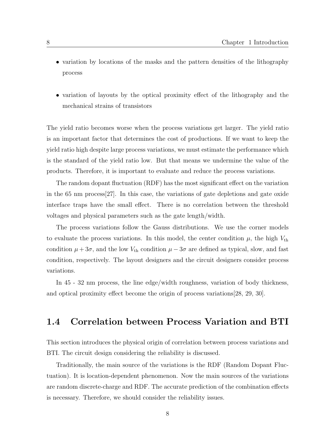- variation by locations of the masks and the pattern densities of the lithography process
- variation of layouts by the optical proximity effect of the lithography and the mechanical strains of transistors

The yield ratio becomes worse when the process variations get larger. The yield ratio is an important factor that determines the cost of productions. If we want to keep the yield ratio high despite large process variations, we must estimate the performance which is the standard of the yield ratio low. But that means we undermine the value of the products. Therefore, it is important to evaluate and reduce the process variations.

The random dopant fluctuation (RDF) has the most significant effect on the variation in the 65 nm process[27]. In this case, the variations of gate depletions and gate oxide interface traps have the small effect. There is no correlation between the threshold voltages and physical parameters such as the gate length/width.

The process variations follow the Gauss distributions. We use the corner models to evaluate the process variations. In this model, the center condition  $\mu$ , the high  $V_{\text{th}}$ condition  $\mu + 3\sigma$ , and the low  $V_{\text{th}}$  condition  $\mu - 3\sigma$  are defined as typical, slow, and fast condition, respectively. The layout designers and the circuit designers consider process variations.

In 45 - 32 nm process, the line edge/width roughness, variation of body thickness, and optical proximity effect become the origin of process variations[28, 29, 30].

#### **1.4 Correlation between Process Variation and BTI**

This section introduces the physical origin of correlation between process variations and BTI. The circuit design considering the reliability is discussed.

Traditionally, the main source of the variations is the RDF (Random Dopant Fluctuation). It is location-dependent phenomenon. Now the main sources of the variations are random discrete-charge and RDF. The accurate prediction of the combination effects is necessary. Therefore, we should consider the reliability issues.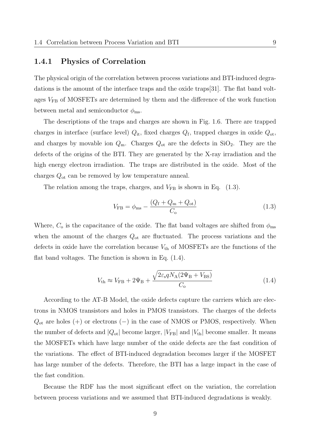#### **1.4.1 Physics of Correlation**

The physical origin of the correlation between process variations and BTI-induced degradations is the amount of the interface traps and the oxide traps[31]. The flat band voltages  $V_{FB}$  of MOSFETs are determined by them and the difference of the work function between metal and semiconductor  $\phi_{\text{ms}}$ .

The descriptions of the traps and charges are shown in Fig. 1.6. There are trapped charges in interface (surface level)  $Q_{it}$ , fixed charges  $Q_f$ , trapped charges in oxide  $Q_{ot}$ , and charges by movable ion  $Q_m$ . Charges  $Q_{ot}$  are the defects in SiO<sub>2</sub>. They are the defects of the origins of the BTI. They are generated by the X-ray irradiation and the high energy electron irradiation. The traps are distributed in the oxide. Most of the charges *Q*ot can be removed by low temperature anneal.

The relation among the traps, charges, and  $V_{FB}$  is shown in Eq.  $(1.3)$ .

$$
V_{\rm FB} = \phi_{\rm ms} - \frac{(Q_{\rm f} + Q_{\rm m} + Q_{\rm ot})}{C_{\rm o}} \tag{1.3}
$$

Where,  $C_{\rm o}$  is the capacitance of the oxide. The flat band voltages are shifted from  $\phi_{\rm ms}$ when the amount of the charges *Q*ot are fluctuated. The process variations and the defects in oxide have the correlation because  $V_{\text{th}}$  of MOSFETs are the functions of the flat band voltages. The function is shown in Eq. (1.4).

$$
V_{\rm th} \approx V_{\rm FB} + 2\Psi_{\rm B} + \frac{\sqrt{2\varepsilon_{\rm s} q N_{\rm A} (2\Psi_{\rm B} + V_{\rm BS})}}{C_{\rm o}} \tag{1.4}
$$

According to the AT-B Model, the oxide defects capture the carriers which are electrons in NMOS transistors and holes in PMOS transistors. The charges of the defects *Q*ot are holes (+) or electrons (*−*) in the case of NMOS or PMOS, respectively. When the number of defects and  $|Q_{\text{ot}}|$  become larger,  $|V_{\text{FB}}|$  and  $|V_{\text{th}}|$  become smaller. It means the MOSFETs which have large number of the oxide defects are the fast condition of the variations. The effect of BTI-induced degradation becomes larger if the MOSFET has large number of the defects. Therefore, the BTI has a large impact in the case of the fast condition.

Because the RDF has the most significant effect on the variation, the correlation between process variations and we assumed that BTI-induced degradations is weakly.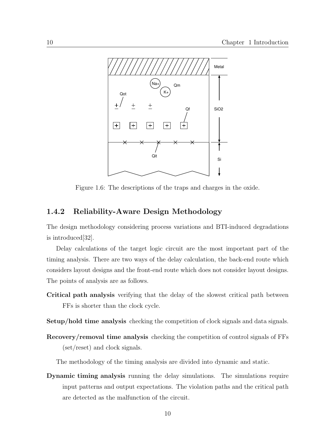

Figure 1.6: The descriptions of the traps and charges in the oxide.

#### **1.4.2 Reliability-Aware Design Methodology**

The design methodology considering process variations and BTI-induced degradations is introduced[32].

Delay calculations of the target logic circuit are the most important part of the timing analysis. There are two ways of the delay calculation, the back-end route which considers layout designs and the front-end route which does not consider layout designs. The points of analysis are as follows.

- **Critical path analysis** verifying that the delay of the slowest critical path between FFs is shorter than the clock cycle.
- **Setup/hold time analysis** checking the competition of clock signals and data signals.
- **Recovery/removal time analysis** checking the competition of control signals of FFs (set/reset) and clock signals.

The methodology of the timing analysis are divided into dynamic and static.

**Dynamic timing analysis** running the delay simulations. The simulations require input patterns and output expectations. The violation paths and the critical path are detected as the malfunction of the circuit.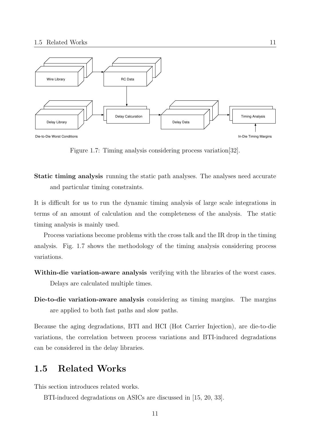

Figure 1.7: Timing analysis considering process variation[32].

**Static timing analysis** running the static path analyses. The analyses need accurate and particular timing constraints.

It is difficult for us to run the dynamic timing analysis of large scale integrations in terms of an amount of calculation and the completeness of the analysis. The static timing analysis is mainly used.

Process variations become problems with the cross talk and the IR drop in the timing analysis. Fig. 1.7 shows the methodology of the timing analysis considering process variations.

- **Within-die variation-aware analysis** verifying with the libraries of the worst cases. Delays are calculated multiple times.
- **Die-to-die variation-aware analysis** considering as timing margins. The margins are applied to both fast paths and slow paths.

Because the aging degradations, BTI and HCI (Hot Carrier Injection), are die-to-die variations, the correlation between process variations and BTI-induced degradations can be considered in the delay libraries.

# **1.5 Related Works**

This section introduces related works.

BTI-induced degradations on ASICs are discussed in [15, 20, 33].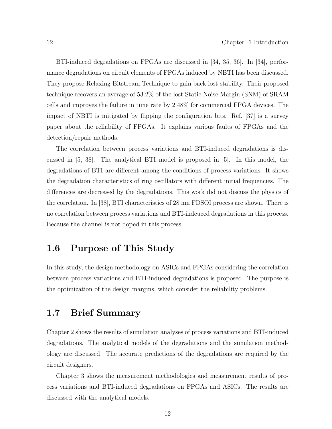BTI-induced degradations on FPGAs are discussed in [34, 35, 36]. In [34], performance degradations on circuit elements of FPGAs induced by NBTI has been discussed. They propose Relaxing Bitstream Technique to gain back lost stability. Their proposed technique recovers an average of 53.2% of the lost Static Noise Margin (SNM) of SRAM cells and improves the failure in time rate by 2.48% for commercial FPGA devices. The impact of NBTI is mitigated by flipping the configuration bits. Ref. [37] is a survey paper about the reliability of FPGAs. It explains various faults of FPGAs and the detection/repair methods.

The correlation between process variations and BTI-induced degradations is discussed in [5, 38]. The analytical BTI model is proposed in [5]. In this model, the degradations of BTI are different among the conditions of process variations. It shows the degradation characteristics of ring oscillators with different initial frequencies. The differences are decreased by the degradations. This work did not discuss the physics of the correlation. In [38], BTI characteristics of 28 nm FDSOI process are shown. There is no correlation between process variations and BTI-indeuced degradations in this process. Because the channel is not doped in this process.

# **1.6 Purpose of This Study**

In this study, the design methodology on ASICs and FPGAs considering the correlation between process variations and BTI-induced degradations is proposed. The purpose is the optimization of the design margins, which consider the reliability problems.

#### **1.7 Brief Summary**

Chapter 2 shows the results of simulation analyses of process variations and BTI-induced degradations. The analytical models of the degradations and the simulation methodology are discussed. The accurate predictions of the degradations are required by the circuit designers.

Chapter 3 shows the measurement methodologies and measurement results of process variations and BTI-induced degradations on FPGAs and ASICs. The results are discussed with the analytical models.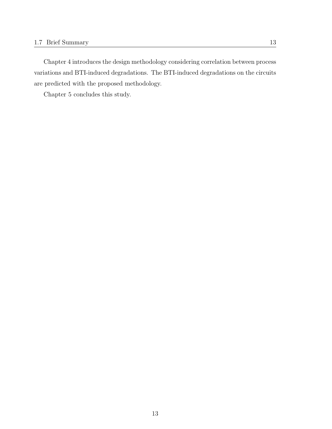Chapter 4 introduces the design methodology considering correlation between process variations and BTI-induced degradations. The BTI-induced degradations on the circuits are predicted with the proposed methodology.

Chapter 5 concludes this study.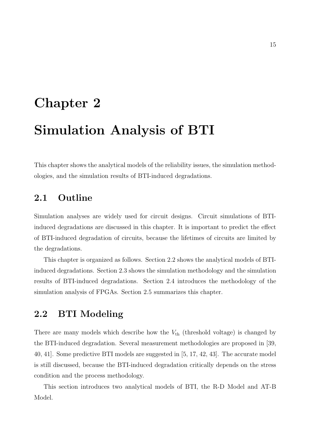# **Chapter 2 Simulation Analysis of BTI**

This chapter shows the analytical models of the reliability issues, the simulation methodologies, and the simulation results of BTI-induced degradations.

# **2.1 Outline**

Simulation analyses are widely used for circuit designs. Circuit simulations of BTIinduced degradations are discussed in this chapter. It is important to predict the effect of BTI-induced degradation of circuits, because the lifetimes of circuits are limited by the degradations.

This chapter is organized as follows. Section 2.2 shows the analytical models of BTIinduced degradations. Section 2.3 shows the simulation methodology and the simulation results of BTI-induced degradations. Section 2.4 introduces the methodology of the simulation analysis of FPGAs. Section 2.5 summarizes this chapter.

# **2.2 BTI Modeling**

There are many models which describe how the  $V_{\text{th}}$  (threshold voltage) is changed by the BTI-induced degradation. Several measurement methodologies are proposed in [39, 40, 41]. Some predictive BTI models are suggested in [5, 17, 42, 43]. The accurate model is still discussed, because the BTI-induced degradation critically depends on the stress condition and the process methodology.

This section introduces two analytical models of BTI, the R-D Model and AT-B Model.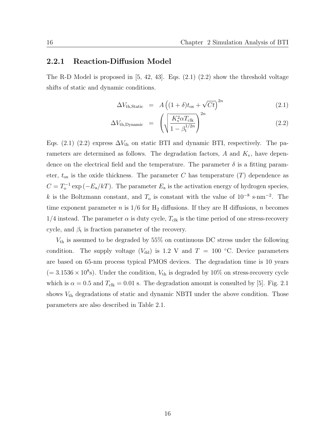#### **2.2.1 Reaction-Diffusion Model**

The R-D Model is proposed in  $[5, 42, 43]$ . Eqs.  $(2.1)$   $(2.2)$  show the threshold voltage shifts of static and dynamic conditions.

$$
\Delta V_{\text{th,Static}} = A \left( (1+\delta)t_{\text{ox}} + \sqrt{Ct} \right)^{2n} \tag{2.1}
$$

$$
\Delta V_{\text{th,Dynamic}} = \left(\sqrt{\frac{K_{\text{v}}^2 \alpha T_{\text{clk}}}{1 - \beta_{\text{t}}^{1/2n}}}\right)^{2n} \tag{2.2}
$$

Eqs. (2.1) (2.2) express  $\Delta V_{th}$  on static BTI and dynamic BTI, respectively. The parameters are determined as follows. The degradation factors, *A* and *K*v, have dependence on the electrical field and the temperature. The parameter  $\delta$  is a fitting parameter,  $t_{\text{ox}}$  is the oxide thickness. The parameter *C* has temperature  $(T)$  dependence as  $C = T_0^{-1} \exp(-E_a/kT)$ . The parameter  $E_a$  is the activation energy of hydrogen species, *k* is the Boltzmann constant, and *T*<sup>o</sup> is constant with the value of 10*−*<sup>8</sup> <sup>s</sup>*·*nm*−*<sup>2</sup> . The time exponent parameter *n* is  $1/6$  for  $H_2$  diffusions. If they are H diffusions, *n* becomes  $1/4$  instead. The parameter  $\alpha$  is duty cycle,  $T_{\text{clk}}$  is the time period of one stress-recovery cycle, and  $\beta_t$  is fraction parameter of the recovery.

*V*th is assumed to be degraded by 55% on continuous DC stress under the following condition. The supply voltage ( $V_{dd}$ ) is 1.2 V and  $T = 100 °C$ . Device parameters are based on 65-nm process typical PMOS devices. The degradation time is 10 years  $(= 3.1536 \times 10^8$ s). Under the condition,  $V_{\text{th}}$  is degraded by 10% on stress-recovery cycle which is  $\alpha = 0.5$  and  $T_{\text{clk}} = 0.01$  s. The degradation amount is consulted by [5]. Fig. 2.1 shows  $V_{\text{th}}$  degradations of static and dynamic NBTI under the above condition. Those parameters are also described in Table 2.1.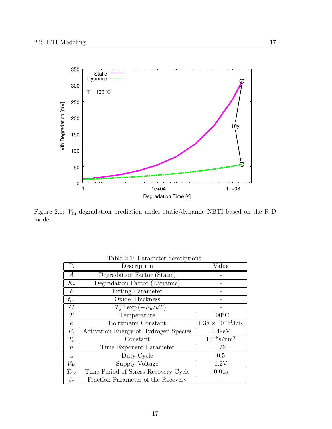

Figure 2.1: *V*th degradation prediction under static/dynamic NBTI based on the R-D model.

| P.               | Description                           | Value                                  |
|------------------|---------------------------------------|----------------------------------------|
| $\boldsymbol{A}$ | Degradation Factor (Static)           |                                        |
| $K_{\rm v}$      | Degradation Factor (Dynamic)          |                                        |
| $\delta$         | <b>Fitting Parameter</b>              |                                        |
| $t_{\rm ox}$     | Oxide Thickness                       |                                        |
| $\mathcal{C}$    | $T_{o}^{-1} \exp(-E_{a}/kT)$          |                                        |
| T                | Temperature                           | $100^{\circ}$ C                        |
| $\boldsymbol{k}$ | Boltzmann Constant                    | $1.38 \times 10^{-23} J/K$             |
| $E_{\rm a}$      | Activation Energy of Hydrogen Species | 0.49eV                                 |
| $T_{\rm o}$      | Constant                              | $\frac{10^{-8} \text{s}}{\text{nm}^2}$ |
| $\boldsymbol{n}$ | Time Exponent Parameter               | 1/6                                    |
| $\alpha$         | Duty Cycle                            | 0.5                                    |
| $V_{\rm dd}$     | Supply Voltage                        | 1.2V                                   |
| $T_{\rm{clk}}$   | Time Period of Stress-Recovery Cycle  | 0.01s                                  |
| $\beta_{\rm t}$  | Fraction Parameter of the Recovery    |                                        |

Table 2.1: Parameter descriptions.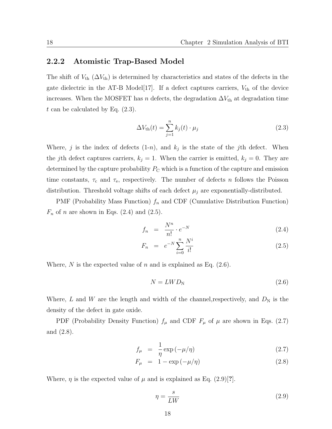#### **2.2.2 Atomistic Trap-Based Model**

The shift of  $V_{\text{th}}$  ( $\Delta V_{\text{th}}$ ) is determined by characteristics and states of the defects in the gate dielectric in the AT-B Model<sup>[17]</sup>. If a defect captures carriers,  $V_{\text{th}}$  of the device increases. When the MOSFET has *n* defects, the degradation  $\Delta V_{th}$  at degradation time *t* can be calculated by Eq. (2.3).

$$
\Delta V_{\text{th}}(t) = \sum_{j=1}^{n} k_j(t) \cdot \mu_j \tag{2.3}
$$

Where, *j* is the index of defects  $(1-n)$ , and  $k_j$  is the state of the *j*th defect. When the *j*th defect captures carriers,  $k_j = 1$ . When the carrier is emitted,  $k_j = 0$ . They are determined by the capture probability  $P_{\rm C}$  which is a function of the capture and emission time constants,  $\tau_c$  and  $\tau_e$ , respectively. The number of defects *n* follows the Poisson distribution. Threshold voltage shifts of each defect  $\mu_j$  are exponentially-distributed.

PMF (Probability Mass Function) *f<sup>n</sup>* and CDF (Cumulative Distribution Function)  $F_n$  of *n* are shown in Eqs. (2.4) and (2.5).

$$
f_n = \frac{N^n}{n!} \cdot e^{-N} \tag{2.4}
$$

$$
F_n = e^{-N} \sum_{i=0}^{n} \frac{N^i}{i!}
$$
 (2.5)

Where,  $N$  is the expected value of  $n$  and is explained as Eq.  $(2.6)$ .

$$
N = LWD_N \tag{2.6}
$$

Where, L and W are the length and width of the channel, respectively, and  $D_N$  is the density of the defect in gate oxide.

PDF (Probability Density Function)  $f_{\mu}$  and CDF  $F_{\mu}$  of  $\mu$  are shown in Eqs. (2.7) and (2.8).

$$
f_{\mu} = \frac{1}{\eta} \exp\left(-\mu/\eta\right) \tag{2.7}
$$

$$
F_{\mu} = 1 - \exp(-\mu/\eta) \tag{2.8}
$$

Where,  $\eta$  is the expected value of  $\mu$  and is explained as Eq. (2.9)[?].

$$
\eta = \frac{s}{LW} \tag{2.9}
$$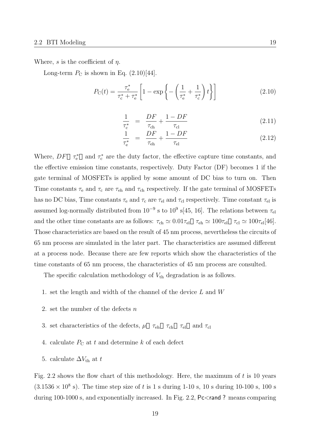Where, *s* is the coefficient of *η*.

Long-term  $P_{\rm C}$  is shown in Eq.  $(2.10)[44]$ .

$$
P_{\rm C}(t) = \frac{\tau_{\rm e}^*}{\tau_{\rm c}^* + \tau_{\rm e}^*} \left[ 1 - \exp\left\{ -\left(\frac{1}{\tau_{\rm e}^*} + \frac{1}{\tau_{\rm c}^*}\right)t \right\} \right] \tag{2.10}
$$

$$
\frac{1}{\tau_{\rm c}^*} = \frac{DF}{\tau_{\rm ch}} + \frac{1 - DF}{\tau_{\rm cl}} \tag{2.11}
$$

$$
\frac{1}{\tau_{\rm e}^*} = \frac{DF}{\tau_{\rm eh}} + \frac{1 - DF}{\tau_{\rm el}} \tag{2.12}
$$

Where,  $DF \tau_e^*$  and  $\tau_c^*$  are the duty factor, the effective capture time constants, and the effective emission time constants, respectively. Duty Factor (DF) becomes 1 if the gate terminal of MOSFETs is applied by some amount of DC bias to turn on. Then Time constants  $\tau_e$  and  $\tau_c$  are  $\tau_{eh}$  and  $\tau_{ch}$  respectively. If the gate terminal of MOSFETs has no DC bias, Time constants  $\tau_e$  and  $\tau_c$  are  $\tau_{el}$  and  $\tau_{cl}$  respectively. Time constant  $\tau_{el}$  is assumed log-normally distributed from  $10^{-9}$  s to  $10^9$  s[45, 16]. The relations between  $\tau_{el}$ and the other time constants are as follows:  $\tau_{ch} \simeq 0.01 \tau_{el}$   $\tau_{ch} \simeq 100 \tau_{el}$   $\tau_{cl} \simeq 100 \tau_{el}[46]$ . Those characteristics are based on the result of 45 nm process, nevertheless the circuits of 65 nm process are simulated in the later part. The characteristics are assumed different at a process node. Because there are few reports which show the characteristics of the time constants of 65 nm process, the characteristics of 45 nm process are consulted.

The specific calculation methodology of  $V_{\text{th}}$  degradation is as follows.

- 1. set the length and width of the channel of the device *L* and *W*
- 2. set the number of the defects *n*
- 3. set characteristics of the defects,  $\mu \tau_{ch} \tau_{ch} \tau_{el}$  and  $\tau_{cl}$
- 4. calculate  $P_{\rm C}$  at  $t$  and determine  $k$  of each defect
- 5. calculate  $\Delta V_{\text{th}}$  at *t*

Fig. 2.2 shows the flow chart of this methodology. Here, the maximum of *t* is 10 years  $(3.1536 \times 10^8 \text{ s})$ . The time step size of *t* is 1 s during 1-10 s, 10 s during 10-100 s, 100 s during 100-1000 s, and exponentially increased. In Fig. 2.2, Pc*<*rand ? means comparing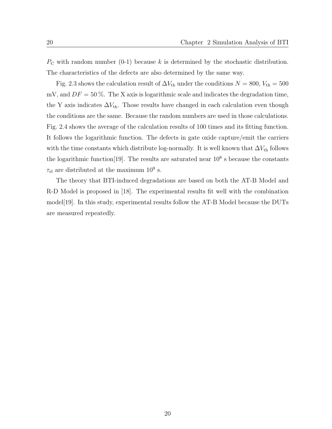*P*<sub>C</sub> with random number (0-1) because *k* is determined by the stochastic distribution. The characteristics of the defects are also determined by the same way.

Fig. 2.3 shows the calculation result of  $\Delta V_{\text{th}}$  under the conditions  $N = 800$ ,  $V_{\text{th}} = 500$ mV, and  $DF = 50\%$ . The X axis is logarithmic scale and indicates the degradation time, the Y axis indicates  $\Delta V_{th}$ . Those results have changed in each calculation even though the conditions are the same. Because the random numbers are used in those calculations. Fig. 2.4 shows the average of the calculation results of 100 times and its fitting function. It follows the logarithmic function. The defects in gate oxide capture/emit the carriers with the time constants which distribute log-normally. It is well known that  $\Delta V_{\text{th}}$  follows the logarithmic function<sup>[19]</sup>. The results are saturated near  $10^8$  s because the constants  $\tau_{el}$  are distributed at the maximum  $10^9$  s.

The theory that BTI-induced degradations are based on both the AT-B Model and R-D Model is proposed in [18]. The experimental results fit well with the combination model[19]. In this study, experimental results follow the AT-B Model because the DUTs are measured repeatedly.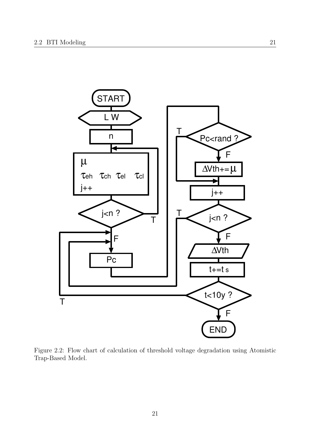

Figure 2.2: Flow chart of calculation of threshold voltage degradation using Atomistic Trap-Based Model.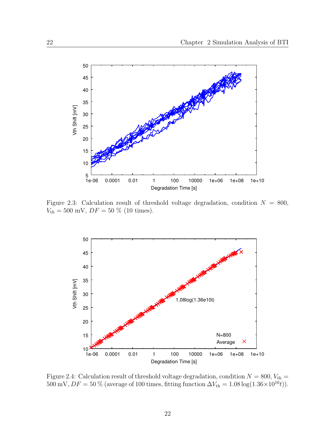

Figure 2.3: Calculation result of threshold voltage degradation, condition  $N = 800$ ,  $V_{\text{th}} = 500 \text{ mV}, DF = 50 \text{ % } (10 \text{ times}).$ 



Figure 2.4: Calculation result of threshold voltage degradation, condition  $N = 800$ ,  $V_{\text{th}} =$ 500 mV,  $DF = 50\%$  (average of 100 times, fitting function  $\Delta V_{\text{th}} = 1.08 \log(1.36 \times 10^{10} t)$ ).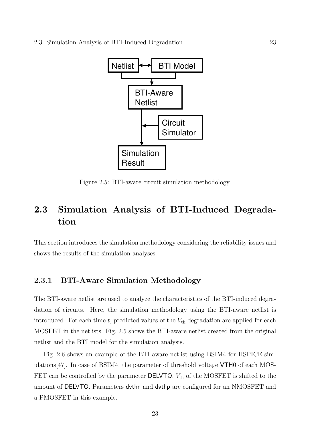

Figure 2.5: BTI-aware circuit simulation methodology.

# **2.3 Simulation Analysis of BTI-Induced Degradation**

This section introduces the simulation methodology considering the reliability issues and shows the results of the simulation analyses.

#### **2.3.1 BTI-Aware Simulation Methodology**

The BTI-aware netlist are used to analyze the characteristics of the BTI-induced degradation of circuits. Here, the simulation methodology using the BTI-aware netlist is introduced. For each time  $t$ , predicted values of the  $V_{\text{th}}$  degradation are applied for each MOSFET in the netlists. Fig. 2.5 shows the BTI-aware netlist created from the original netlist and the BTI model for the simulation analysis.

Fig. 2.6 shows an example of the BTI-aware netlist using BSIM4 for HSPICE simulations[47]. In case of BSIM4, the parameter of threshold voltage VTH0 of each MOS-FET can be controlled by the parameter **DELVTO**.  $V_{th}$  of the MOSFET is shifted to the amount of DELVTO. Parameters dvthn and dvthp are configured for an NMOSFET and a PMOSFET in this example.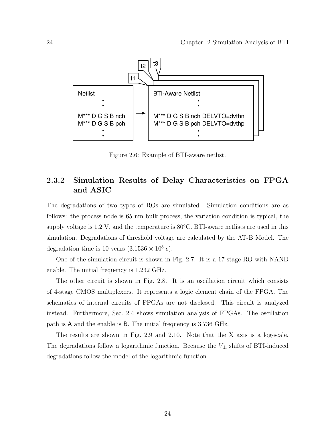

Figure 2.6: Example of BTI-aware netlist.

#### **2.3.2 Simulation Results of Delay Characteristics on FPGA and ASIC**

The degradations of two types of ROs are simulated. Simulation conditions are as follows: the process node is 65 nm bulk process, the variation condition is typical, the supply voltage is 1.2 V, and the temperature is 80*◦*C. BTI-aware netlists are used in this simulation. Degradations of threshold voltage are calculated by the AT-B Model. The degradation time is 10 years  $(3.1536 \times 10^8 \text{ s})$ .

One of the simulation circuit is shown in Fig. 2.7. It is a 17-stage RO with NAND enable. The initial frequency is 1.232 GHz.

The other circuit is shown in Fig. 2.8. It is an oscillation circuit which consists of 4-stage CMOS multiplexers. It represents a logic element chain of the FPGA. The schematics of internal circuits of FPGAs are not disclosed. This circuit is analyzed instead. Furthermore, Sec. 2.4 shows simulation analysis of FPGAs. The oscillation path is A and the enable is B. The initial frequency is 3.736 GHz.

The results are shown in Fig. 2.9 and 2.10. Note that the X axis is a log-scale. The degradations follow a logarithmic function. Because the  $V_{\text{th}}$  shifts of BTI-induced degradations follow the model of the logarithmic function.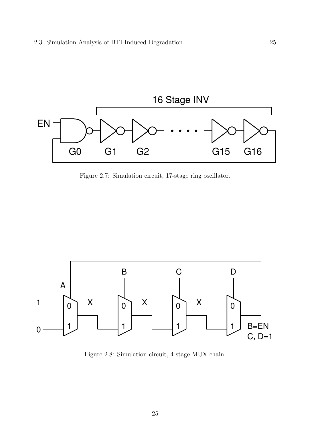

Figure 2.7: Simulation circuit, 17-stage ring oscillator.



Figure 2.8: Simulation circuit, 4-stage MUX chain.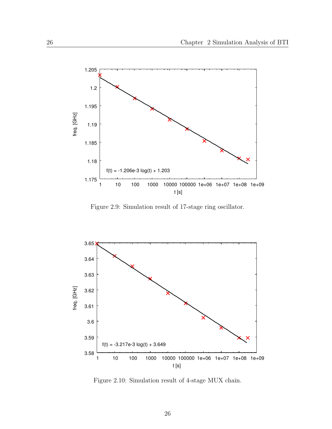

Figure 2.9: Simulation result of 17-stage ring oscillator.



Figure 2.10: Simulation result of 4-stage MUX chain.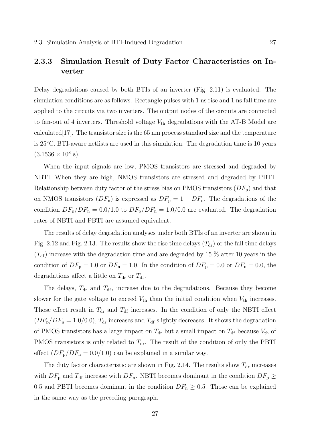#### **2.3.3 Simulation Result of Duty Factor Characteristics on Inverter**

Delay degradations caused by both BTIs of an inverter (Fig. 2.11) is evaluated. The simulation conditions are as follows. Rectangle pulses with 1 ns rise and 1 ns fall time are applied to the circuits via two inverters. The output nodes of the circuits are connected to fan-out of 4 inverters. Threshold voltage  $V_{\text{th}}$  degradations with the AT-B Model are calculated  $|17|$ . The transistor size is the 65 nm process standard size and the temperature is 25*◦*C. BTI-aware netlists are used in this simulation. The degradation time is 10 years  $(3.1536 \times 10^8 \text{ s}).$ 

When the input signals are low, PMOS transistors are stressed and degraded by NBTI. When they are high, NMOS transistors are stressed and degraded by PBTI. Relationship between duty factor of the stress bias on PMOS transistors (*DF*p) and that on NMOS transistors  $(DF_n)$  is expressed as  $DF_p = 1 - DF_n$ . The degradations of the condition  $DF_{\rm p}/DF_{\rm n} = 0.0/1.0$  to  $DF_{\rm p}/DF_{\rm n} = 1.0/0.0$  are evaluated. The degradation rates of NBTI and PBTI are assumed equivalent.

The results of delay degradation analyses under both BTIs of an inverter are shown in Fig. 2.12 and Fig. 2.13. The results show the rise time delays  $(T_{dr})$  or the fall time delays  $(T_{\rm df})$  increase with the degradation time and are degraded by 15  $\%$  after 10 years in the condition of  $DF_{\text{p}} = 1.0$  or  $DF_{\text{n}} = 1.0$ . In the condition of  $DF_{\text{p}} = 0.0$  or  $DF_{\text{n}} = 0.0$ , the degradations affect a little on  $T_{dr}$  or  $T_{df}$ .

The delays,  $T_{dr}$  and  $T_{df}$ , increase due to the degradations. Because they become slower for the gate voltage to exceed  $V_{\text{th}}$  than the initial condition when  $V_{\text{th}}$  increases. Those effect result in  $T_{dr}$  and  $T_{df}$  increases. In the condition of only the NBTI effect  $(DF_{\rm p}/DF_{\rm n} = 1.0/0.0)$ ,  $T_{\rm dr}$  increases and  $T_{\rm df}$  slightly decreases. It shows the degradation of PMOS transistors has a large impact on  $T_{dr}$  but a small impact on  $T_{df}$  because  $V_{th}$  of PMOS transistors is only related to  $T_{dr}$ . The result of the condition of only the PBTI effect  $(DF_{\rm p}/DF_{\rm n} = 0.0/1.0)$  can be explained in a similar way.

The duty factor characteristic are shown in Fig. 2.14. The results show  $T_{dr}$  increases with  $DF_{\rm p}$  and  $T_{\rm df}$  increase with  $DF_{\rm n}$ . NBTI becomes dominant in the condition  $DF_{\rm p} \ge$ 0.5 and PBTI becomes dominant in the condition  $DF_n \geq 0.5$ . Those can be explained in the same way as the preceding paragraph.

27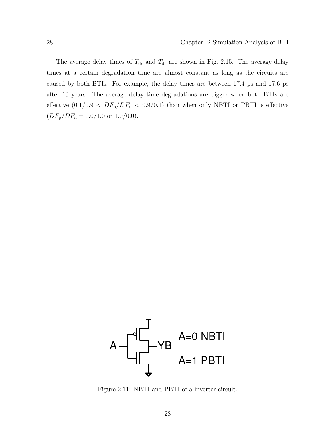The average delay times of  $T_{dr}$  and  $T_{df}$  are shown in Fig. 2.15. The average delay times at a certain degradation time are almost constant as long as the circuits are caused by both BTIs. For example, the delay times are between 17*.*4 ps and 17*.*6 ps after 10 years. The average delay time degradations are bigger when both BTIs are effective  $(0.1/0.9 < DF_{p}/DF_{n} < 0.9/0.1)$  than when only NBTI or PBTI is effective  $(DF_{\rm p}/DF_{\rm n} = 0.0/1.0$  or 1.0/0.0).



Figure 2.11: NBTI and PBTI of a inverter circuit.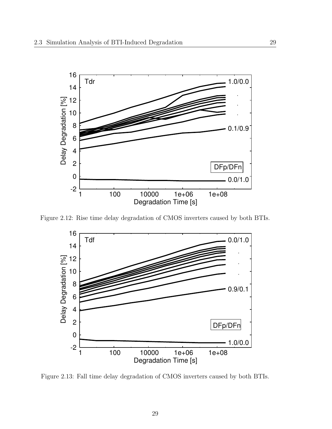

Figure 2.12: Rise time delay degradation of CMOS inverters caused by both BTIs.



Figure 2.13: Fall time delay degradation of CMOS inverters caused by both BTIs.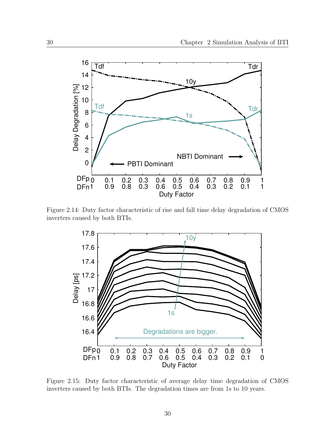

Figure 2.14: Duty factor characteristic of rise and fall time delay degradation of CMOS inverters caused by both BTIs.



Figure 2.15: Duty factor characteristic of average delay time degradation of CMOS inverters caused by both BTIs. The degradation times are from 1s to 10 years.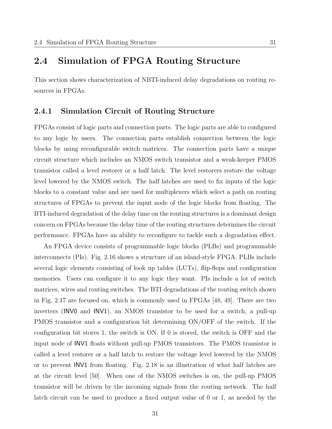# **2.4 Simulation of FPGA Routing Structure**

This section shows characterization of NBTI-induced delay degradations on routing resources in FPGAs.

#### **2.4.1 Simulation Circuit of Routing Structure**

FPGAs consist of logic parts and connection parts. The logic parts are able to configured to any logic by users. The connection parts establish connection between the logic blocks by using reconfigurable switch matrices. The connection parts have a unique circuit structure which includes an NMOS switch transistor and a weak-keeper PMOS transistor called a level restorer or a half latch. The level restorers restore the voltage level lowered by the NMOS switch. The half latches are used to fix inputs of the logic blocks to a constant value and are used for multiplexers which select a path on routing structures of FPGAs to prevent the input node of the logic blocks from floating. The BTI-induced degradation of the delay time on the routing structures is a dominant design concern on FPGAs because the delay time of the routing structures determines the circuit performance. FPGAs have an ability to reconfigure to tackle such a degradation effect.

An FPGA device consists of programmable logic blocks (PLBs) and programmable interconnects (PIs). Fig. 2.16 shows a structure of an island-style FPGA. PLBs include several logic elements consisting of look up tables (LUTs), flip-flops and configuration memories. Users can configure it to any logic they want. PIs include a lot of switch matrices, wires and routing switches. The BTI degradations of the routing switch shown in Fig. 2.17 are focused on, which is commonly used in FPGAs [48, 49]. There are two inverters (INV0 and INV1), an NMOS transistor to be used for a switch, a pull-up PMOS transistor and a configuration bit determining ON/OFF of the switch. If the configuration bit stores 1, the switch is ON. If 0 is stored, the switch is OFF and the input node of INV1 floats without pull-up PMOS transistors. The PMOS transistor is called a level restorer or a half latch to restore the voltage level lowered by the NMOS or to prevent INV1 from floating. Fig. 2.18 is an illustration of what half latches are at the circuit level [50]. When one of the NMOS switches is on, the pull-up PMOS transistor will be driven by the incoming signals from the routing network. The half latch circuit can be used to produce a fixed output value of 0 or 1, as needed by the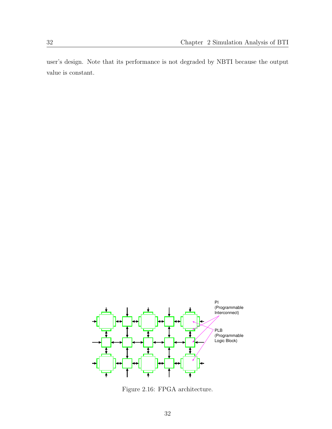user's design. Note that its performance is not degraded by NBTI because the output value is constant.



Figure 2.16: FPGA architecture.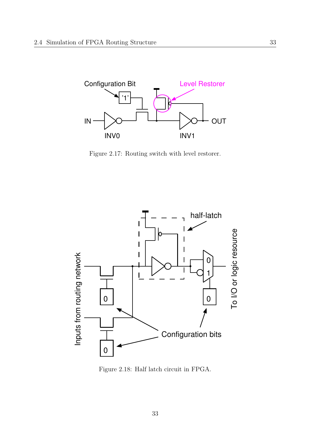

Figure 2.17: Routing switch with level restorer.



Figure 2.18: Half latch circuit in FPGA.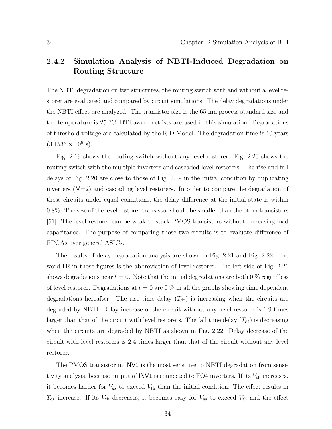#### **2.4.2 Simulation Analysis of NBTI-Induced Degradation on Routing Structure**

The NBTI degradation on two structures, the routing switch with and without a level restorer are evaluated and compared by circuit simulations. The delay degradations under the NBTI effect are analyzed. The transistor size is the 65 nm process standard size and the temperature is 25 *◦*C. BTI-aware netlists are used in this simulation. Degradations of threshold voltage are calculated by the R-D Model. The degradation time is 10 years  $(3.1536 \times 10^8 \text{ s}).$ 

Fig. 2.19 shows the routing switch without any level restorer. Fig. 2.20 shows the routing switch with the multiple inverters and cascaded level restorers. The rise and fall delays of Fig. 2.20 are close to those of Fig. 2.19 in the initial condition by duplicating inverters (M=2) and cascading level restorers. In order to compare the degradation of these circuits under equal conditions, the delay difference at the initial state is within 0*.*8%. The size of the level restorer transistor should be smaller than the other transistors [51]. The level restorer can be weak to stack PMOS transistors without increasing load capacitance. The purpose of comparing those two circuits is to evaluate difference of FPGAs over general ASICs.

The results of delay degradation analysis are shown in Fig. 2.21 and Fig. 2.22. The word LR in those figures is the abbreviation of level restorer. The left side of Fig. 2.21 shows degradations near  $t = 0$ . Note that the initial degradations are both 0 % regardless of level restorer. Degradations at  $t = 0$  are  $0\%$  in all the graphs showing time dependent degradations hereafter. The rise time delay  $(T_{dr})$  is increasing when the circuits are degraded by NBTI. Delay increase of the circuit without any level restorer is 1.9 times larger than that of the circuit with level restorers. The fall time delay  $(T_{df})$  is decreasing when the circuits are degraded by NBTI as shown in Fig. 2.22. Delay decrease of the circuit with level restorers is 2.4 times larger than that of the circuit without any level restorer.

The PMOS transistor in INV1 is the most sensitive to NBTI degradation from sensitivity analysis, because output of  $INV1$  is connected to  $FO4$  inverters. If its  $V_{th}$  increases, it becomes harder for  $V_{gs}$  to exceed  $V_{th}$  than the initial condition. The effect results in  $T_{dr}$  increase. If its  $V_{th}$  decreases, it becomes easy for  $V_{gs}$  to exceed  $V_{th}$  and the effect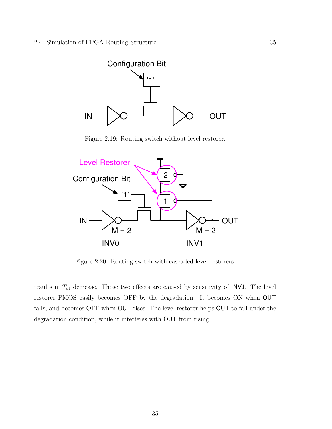

Figure 2.19: Routing switch without level restorer.



Figure 2.20: Routing switch with cascaded level restorers.

results in  $T_{df}$  decrease. Those two effects are caused by sensitivity of INV1. The level restorer PMOS easily becomes OFF by the degradation. It becomes ON when OUT falls, and becomes OFF when OUT rises. The level restorer helps OUT to fall under the degradation condition, while it interferes with OUT from rising.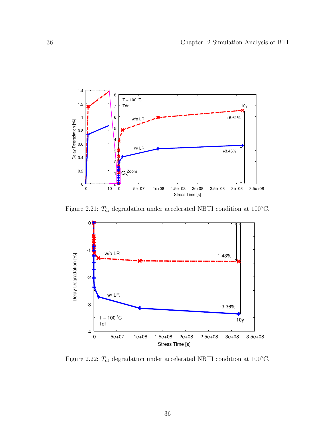

Figure 2.21:  $T_{dr}$  degradation under accelerated NBTI condition at 100 $°C$ .



Figure 2.22:  $T_{df}$  degradation under accelerated NBTI condition at 100 $°C$ .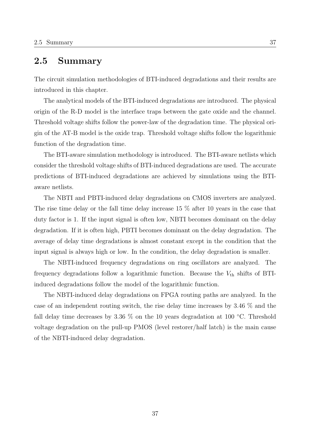### **2.5 Summary**

The circuit simulation methodologies of BTI-induced degradations and their results are introduced in this chapter.

The analytical models of the BTI-induced degradations are introduced. The physical origin of the R-D model is the interface traps between the gate oxide and the channel. Threshold voltage shifts follow the power-law of the degradation time. The physical origin of the AT-B model is the oxide trap. Threshold voltage shifts follow the logarithmic function of the degradation time.

The BTI-aware simulation methodology is introduced. The BTI-aware netlists which consider the threshold voltage shifts of BTI-induced degradations are used. The accurate predictions of BTI-induced degradations are achieved by simulations using the BTIaware netlists.

The NBTI and PBTI-induced delay degradations on CMOS inverters are analyzed. The rise time delay or the fall time delay increase 15 % after 10 years in the case that duty factor is 1. If the input signal is often low, NBTI becomes dominant on the delay degradation. If it is often high, PBTI becomes dominant on the delay degradation. The average of delay time degradations is almost constant except in the condition that the input signal is always high or low. In the condition, the delay degradation is smaller.

The NBTI-induced frequency degradations on ring oscillators are analyzed. The frequency degradations follow a logarithmic function. Because the  $V_{th}$  shifts of BTIinduced degradations follow the model of the logarithmic function.

The NBTI-induced delay degradations on FPGA routing paths are analyzed. In the case of an independent routing switch, the rise delay time increases by 3.46 % and the fall delay time decreases by 3.36 % on the 10 years degradation at 100 *◦*C. Threshold voltage degradation on the pull-up PMOS (level restorer/half latch) is the main cause of the NBTI-induced delay degradation.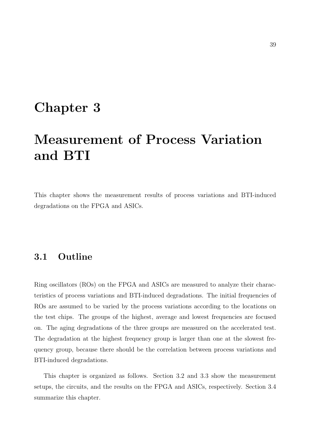# **Chapter 3**

# **Measurement of Process Variation and BTI**

This chapter shows the measurement results of process variations and BTI-induced degradations on the FPGA and ASICs.

### **3.1 Outline**

Ring oscillators (ROs) on the FPGA and ASICs are measured to analyze their characteristics of process variations and BTI-induced degradations. The initial frequencies of ROs are assumed to be varied by the process variations according to the locations on the test chips. The groups of the highest, average and lowest frequencies are focused on. The aging degradations of the three groups are measured on the accelerated test. The degradation at the highest frequency group is larger than one at the slowest frequency group, because there should be the correlation between process variations and BTI-induced degradations.

This chapter is organized as follows. Section 3.2 and 3.3 show the measurement setups, the circuits, and the results on the FPGA and ASICs, respectively. Section 3.4 summarize this chapter.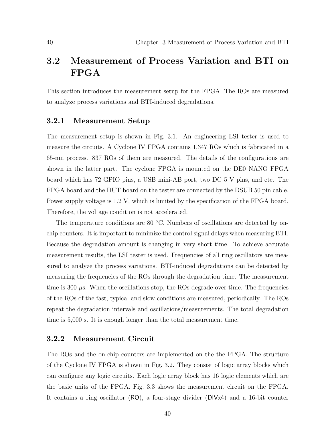## **3.2 Measurement of Process Variation and BTI on FPGA**

This section introduces the measurement setup for the FPGA. The ROs are measured to analyze process variations and BTI-induced degradations.

#### **3.2.1 Measurement Setup**

The measurement setup is shown in Fig. 3.1. An engineering LSI tester is used to measure the circuits. A Cyclone IV FPGA contains 1,347 ROs which is fabricated in a 65-nm process. 837 ROs of them are measured. The details of the configurations are shown in the latter part. The cyclone FPGA is mounted on the DE0 NANO FPGA board which has 72 GPIO pins, a USB mini-AB port, two DC 5 V pins, and etc. The FPGA board and the DUT board on the tester are connected by the DSUB 50 pin cable. Power supply voltage is 1.2 V, which is limited by the specification of the FPGA board. Therefore, the voltage condition is not accelerated.

The temperature conditions are 80 *◦*C. Numbers of oscillations are detected by onchip counters. It is important to minimize the control signal delays when measuring BTI. Because the degradation amount is changing in very short time. To achieve accurate measurement results, the LSI tester is used. Frequencies of all ring oscillators are measured to analyze the process variations. BTI-induced degradations can be detected by measuring the frequencies of the ROs through the degradation time. The measurement time is 300  $\mu$ s. When the oscillations stop, the ROs degrade over time. The frequencies of the ROs of the fast, typical and slow conditions are measured, periodically. The ROs repeat the degradation intervals and oscillations/measurements. The total degradation time is 5,000 s. It is enough longer than the total measurement time.

#### **3.2.2 Measurement Circuit**

The ROs and the on-chip counters are implemented on the the FPGA. The structure of the Cyclone IV FPGA is shown in Fig. 3.2. They consist of logic array blocks which can configure any logic circuits. Each logic array block has 16 logic elements which are the basic units of the FPGA. Fig. 3.3 shows the measurement circuit on the FPGA. It contains a ring oscillator (RO), a four-stage divider (DIVx4) and a 16-bit counter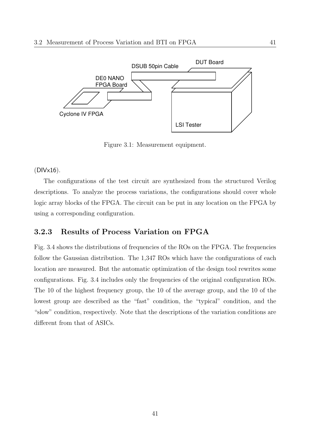

Figure 3.1: Measurement equipment.

#### (DIVx16).

The configurations of the test circuit are synthesized from the structured Verilog descriptions. To analyze the process variations, the configurations should cover whole logic array blocks of the FPGA. The circuit can be put in any location on the FPGA by using a corresponding configuration.

#### **3.2.3 Results of Process Variation on FPGA**

Fig. 3.4 shows the distributions of frequencies of the ROs on the FPGA. The frequencies follow the Gaussian distribution. The 1,347 ROs which have the configurations of each location are measured. But the automatic optimization of the design tool rewrites some configurations. Fig. 3.4 includes only the frequencies of the original configuration ROs. The 10 of the highest frequency group, the 10 of the average group, and the 10 of the lowest group are described as the "fast" condition, the "typical" condition, and the "slow" condition, respectively. Note that the descriptions of the variation conditions are different from that of ASICs.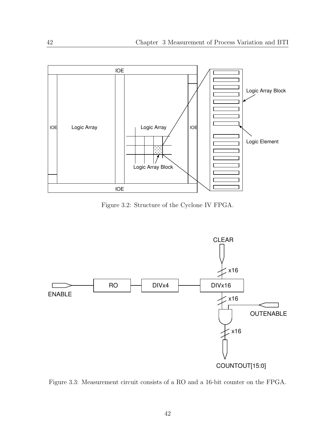

Figure 3.2: Structure of the Cyclone IV FPGA.



Figure 3.3: Measurement circuit consists of a RO and a 16-bit counter on the FPGA.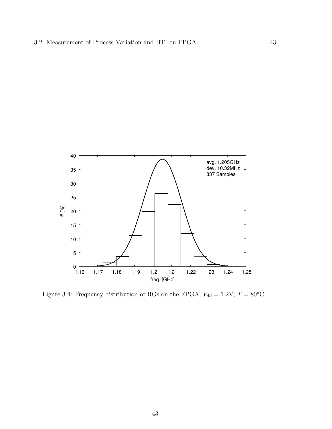

Figure 3.4: Frequency distribution of ROs on the FPGA,  $V_{\text{dd}} = 1.2 \text{V}$ ,  $T = 80 \text{°C}$ .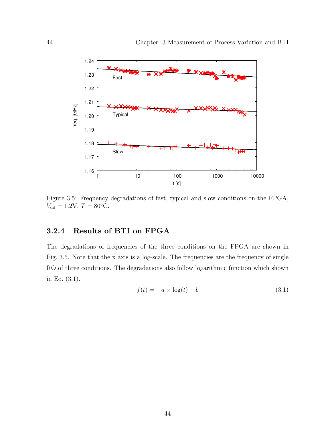

Figure 3.5: Frequency degradations of fast, typical and slow conditions on the FPGA,  $V_{\text{dd}} = 1.2 \text{V}$ ,  $T = 80 \text{°C}$ .

#### **3.2.4 Results of BTI on FPGA**

The degradations of frequencies of the three conditions on the FPGA are shown in Fig. 3.5. Note that the x axis is a log-scale. The frequencies are the frequency of single RO of three conditions. The degradations also follow logarithmic function which shown in Eq. (3.1).

$$
f(t) = -a \times \log(t) + b \tag{3.1}
$$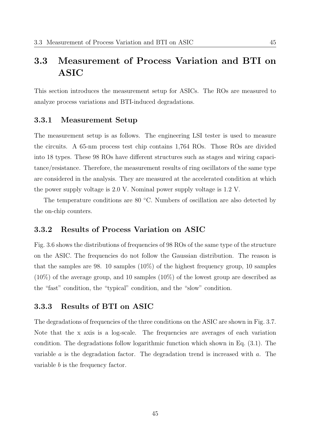## **3.3 Measurement of Process Variation and BTI on ASIC**

This section introduces the measurement setup for ASICs. The ROs are measured to analyze process variations and BTI-induced degradations.

#### **3.3.1 Measurement Setup**

The measurement setup is as follows. The engineering LSI tester is used to measure the circuits. A 65-nm process test chip contains 1,764 ROs. Those ROs are divided into 18 types. These 98 ROs have different structures such as stages and wiring capacitance/resistance. Therefore, the measurement results of ring oscillators of the same type are considered in the analysis. They are measured at the accelerated condition at which the power supply voltage is 2.0 V. Nominal power supply voltage is 1.2 V.

The temperature conditions are 80 *◦*C. Numbers of oscillation are also detected by the on-chip counters.

#### **3.3.2 Results of Process Variation on ASIC**

Fig. 3.6 shows the distributions of frequencies of 98 ROs of the same type of the structure on the ASIC. The frequencies do not follow the Gaussian distribution. The reason is that the samples are 98. 10 samples (10%) of the highest frequency group, 10 samples (10%) of the average group, and 10 samples (10%) of the lowest group are described as the "fast" condition, the "typical" condition, and the "slow" condition.

#### **3.3.3 Results of BTI on ASIC**

The degradations of frequencies of the three conditions on the ASIC are shown in Fig. 3.7. Note that the x axis is a log-scale. The frequencies are averages of each variation condition. The degradations follow logarithmic function which shown in Eq. (3.1). The variable *a* is the degradation factor. The degradation trend is increased with *a*. The variable *b* is the frequency factor.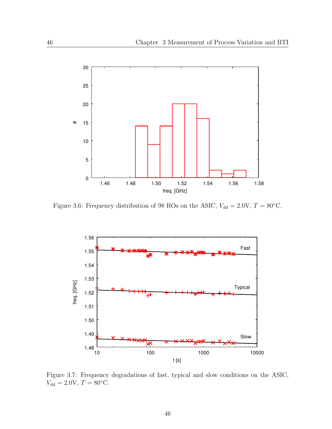

Figure 3.6: Frequency distribution of 98 ROs on the ASIC,  $V_{dd} = 2.0 \text{V}$ ,  $T = 80 \text{°C}$ .



Figure 3.7: Frequency degradations of fast, typical and slow conditions on the ASIC,  $V_{\text{dd}} = 2.0 \text{V}, T = 80 \degree \text{C}.$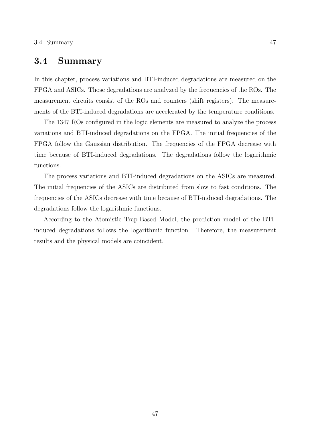#### **3.4 Summary**

In this chapter, process variations and BTI-induced degradations are measured on the FPGA and ASICs. Those degradations are analyzed by the frequencies of the ROs. The measurement circuits consist of the ROs and counters (shift registers). The measurements of the BTI-induced degradations are accelerated by the temperature conditions.

The 1347 ROs configured in the logic elements are measured to analyze the process variations and BTI-induced degradations on the FPGA. The initial frequencies of the FPGA follow the Gaussian distribution. The frequencies of the FPGA decrease with time because of BTI-induced degradations. The degradations follow the logarithmic functions.

The process variations and BTI-induced degradations on the ASICs are measured. The initial frequencies of the ASICs are distributed from slow to fast conditions. The frequencies of the ASICs decrease with time because of BTI-induced degradations. The degradations follow the logarithmic functions.

According to the Atomistic Trap-Based Model, the prediction model of the BTIinduced degradations follows the logarithmic function. Therefore, the measurement results and the physical models are coincident.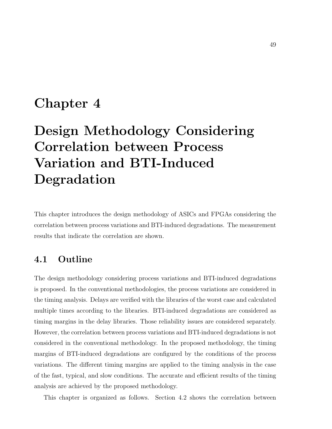# **Chapter 4**

# **Design Methodology Considering Correlation between Process Variation and BTI-Induced Degradation**

This chapter introduces the design methodology of ASICs and FPGAs considering the correlation between process variations and BTI-induced degradations. The measurement results that indicate the correlation are shown.

## **4.1 Outline**

The design methodology considering process variations and BTI-induced degradations is proposed. In the conventional methodologies, the process variations are considered in the timing analysis. Delays are verified with the libraries of the worst case and calculated multiple times according to the libraries. BTI-induced degradations are considered as timing margins in the delay libraries. Those reliability issues are considered separately. However, the correlation between process variations and BTI-induced degradations is not considered in the conventional methodology. In the proposed methodology, the timing margins of BTI-induced degradations are configured by the conditions of the process variations. The different timing margins are applied to the timing analysis in the case of the fast, typical, and slow conditions. The accurate and efficient results of the timing analysis are achieved by the proposed methodology.

This chapter is organized as follows. Section 4.2 shows the correlation between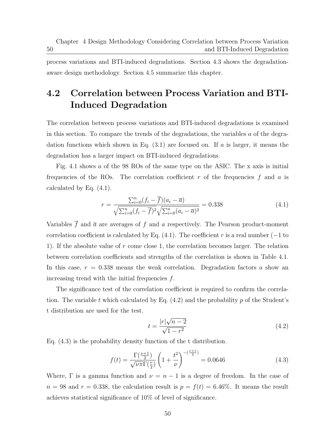50

process variations and BTI-induced degradations. Section 4.3 shows the degradationaware design methodology. Section 4.5 summarize this chapter.

# **4.2 Correlation between Process Variation and BTI-Induced Degradation**

The correlation between process variations and BTI-induced degradations is examined in this section. To compare the trends of the degradations, the variables *a* of the degradation functions which shown in Eq. (3.1) are focused on. If *a* is larger, it means the degradation has a larger impact on BTI-induced degradations.

Fig. 4.1 shows *a* of the 98 ROs of the same type on the ASIC. The x axis is initial frequencies of the ROs. The correlation coefficient *r* of the frequencies *f* and *a* is calculated by Eq. (4.1).

$$
r = \frac{\sum_{i=0}^{n} (f_i - \overline{f})(a_i - \overline{a})}{\sqrt{\sum_{i=0}^{n} (f_i - \overline{f})^2} \sqrt{\sum_{i=0}^{n} (a_i - \overline{a})^2}} = 0.338
$$
 (4.1)

Variables  $\overline{f}$  and  $\overline{a}$  are averages of  $f$  and  $a$  respectively. The Pearson product-moment correlation coefficient is calculated by Eq. (4.1). The coefficient *r* is a real number (*−*1 to 1). If the absolute value of *r* come close 1, the correlation becomes larger. The relation between correlation coefficients and strengths of the correlation is shown in Table 4.1. In this case,  $r = 0.338$  means the weak correlation. Degradation factors a show an increasing trend with the initial frequencies *f*.

The significance test of the correlation coefficient is required to confirm the correlation. The variable *t* which calculated by Eq. (4.2) and the probability *p* of the Student's t distribution are used for the test.

$$
t = \frac{|r|\sqrt{n-2}}{\sqrt{1-r^2}}\tag{4.2}
$$

Eq. (4.3) is the probability density function of the t distribution.

$$
f(t) = \frac{\Gamma(\frac{\nu+1}{2})}{\sqrt{\nu \pi} \Gamma(\frac{\nu}{2})} \left(1 + \frac{t^2}{\nu}\right)^{-(\frac{\nu+1}{2})} = 0.0646
$$
 (4.3)

Where,  $\Gamma$  is a gamma function and  $\nu = n - 1$  is a degree of freedom. In the case of  $n = 98$  and  $r = 0.338$ , the calculation result is  $p = f(t) = 6.46\%$ . It means the result achieves statistical significance of 10% of level of significance.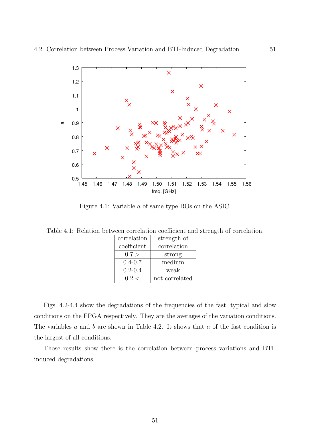

Figure 4.1: Variable *a* of same type ROs on the ASIC.

Table 4.1: Relation between correlation coefficient and strength of correlation.

| correlation | strength of    |
|-------------|----------------|
| coefficient | correlation    |
| 0.7 >       | strong         |
| $0.4 - 0.7$ | medium         |
| $0.2 - 0.4$ | weak           |
| 0.2 <       | not correlated |

Figs. 4.2-4.4 show the degradations of the frequencies of the fast, typical and slow conditions on the FPGA respectively. They are the averages of the variation conditions. The variables *a* and *b* are shown in Table 4.2. It shows that *a* of the fast condition is the largest of all conditions.

Those results show there is the correlation between process variations and BTIinduced degradations.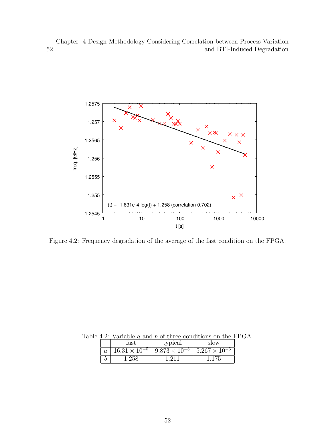

Figure 4.2: Frequency degradation of the average of the fast condition on the FPGA.

Table 4.2: Variable *a* and *b* of three conditions on the FPGA.

|                | fast  | typical                                                                  | slow |
|----------------|-------|--------------------------------------------------------------------------|------|
| $\overline{a}$ |       | $16.31 \times 10^{-5}$   $9.873 \times 10^{-5}$   $5.267 \times 10^{-5}$ |      |
|                | 1 258 | $-211$                                                                   |      |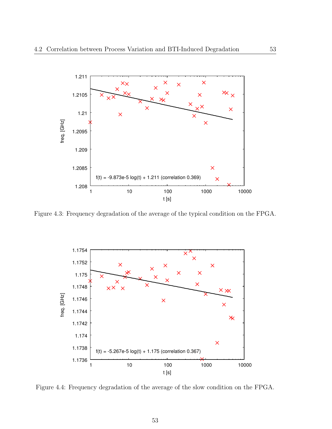

Figure 4.3: Frequency degradation of the average of the typical condition on the FPGA.



Figure 4.4: Frequency degradation of the average of the slow condition on the FPGA.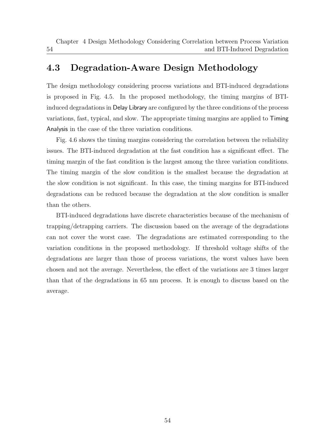## **4.3 Degradation-Aware Design Methodology**

54

The design methodology considering process variations and BTI-induced degradations is proposed in Fig. 4.5. In the proposed methodology, the timing margins of BTIinduced degradations in Delay Library are configured by the three conditions of the process variations, fast, typical, and slow. The appropriate timing margins are applied to Timing Analysis in the case of the three variation conditions.

Fig. 4.6 shows the timing margins considering the correlation between the reliability issues. The BTI-induced degradation at the fast condition has a significant effect. The timing margin of the fast condition is the largest among the three variation conditions. The timing margin of the slow condition is the smallest because the degradation at the slow condition is not significant. In this case, the timing margins for BTI-induced degradations can be reduced because the degradation at the slow condition is smaller than the others.

BTI-induced degradations have discrete characteristics because of the mechanism of trapping/detrapping carriers. The discussion based on the average of the degradations can not cover the worst case. The degradations are estimated corresponding to the variation conditions in the proposed methodology. If threshold voltage shifts of the degradations are larger than those of process variations, the worst values have been chosen and not the average. Nevertheless, the effect of the variations are 3 times larger than that of the degradations in 65 nm process. It is enough to discuss based on the average.

54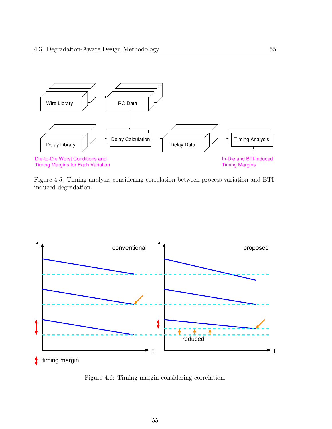

Figure 4.5: Timing analysis considering correlation between process variation and BTIinduced degradation.



Figure 4.6: Timing margin considering correlation.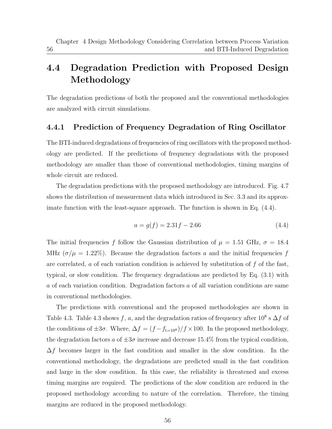56

# **4.4 Degradation Prediction with Proposed Design Methodology**

The degradation predictions of both the proposed and the conventional methodologies are analyzed with circuit simulations.

#### **4.4.1 Prediction of Frequency Degradation of Ring Oscillator**

The BTI-induced degradations of frequencies of ring oscillators with the proposed methodology are predicted. If the predictions of frequency degradations with the proposed methodology are smaller than those of conventional methodologies, timing margins of whole circuit are reduced.

The degradation predictions with the proposed methodology are introduced. Fig. 4.7 shows the distribution of measurement data which introduced in Sec. 3.3 and its approximate function with the least-square approach. The function is shown in Eq.  $(4.4)$ .

$$
a = g(f) = 2.31f - 2.66\tag{4.4}
$$

The initial frequencies *f* follow the Gaussian distribution of  $\mu = 1.51 \text{ GHz}, \sigma = 18.4$ MHz  $(\sigma/\mu = 1.22\%)$ . Because the degradation factors *a* and the initial frequencies *f* are correlated, *a* of each variation condition is achieved by substitution of *f* of the fast, typical, or slow condition. The frequency degradations are predicted by Eq. (3.1) with *a* of each variation condition. Degradation factors *a* of all variation conditions are same in conventional methodologies.

The predictions with conventional and the proposed methodologies are shown in Table 4.3. Table 4.3 shows  $f$ ,  $a$ , and the degradation ratios of frequency after 10<sup>8</sup> s  $\Delta f$  of the conditions of  $\pm 3\sigma$ . Where,  $\Delta f = (f - f_{t=10^8})/f \times 100$ . In the proposed methodology, the degradation factors *a* of  $\pm 3\sigma$  increase and decrease 15.4% from the typical condition, ∆*f* becomes larger in the fast condition and smaller in the slow condition. In the conventional methodology, the degradations are predicted small in the fast condition and large in the slow condition. In this case, the reliability is threatened and excess timing margins are required. The predictions of the slow condition are reduced in the proposed methodology according to nature of the correlation. Therefore, the timing margins are reduced in the proposed methodology.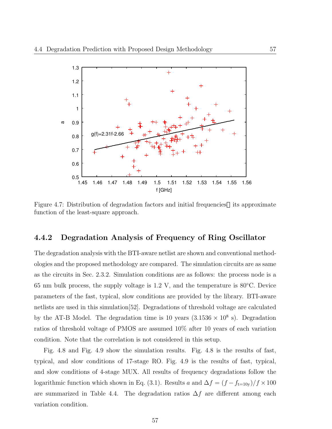

Figure 4.7: Distribution of degradation factors and initial frequencies its approximate function of the least-square approach.

#### **4.4.2 Degradation Analysis of Frequency of Ring Oscillator**

The degradation analysis with the BTI-aware netlist are shown and conventional methodologies and the proposed methodology are compared. The simulation circuits are as same as the circuits in Sec. 2.3.2. Simulation conditions are as follows: the process node is a 65 nm bulk process, the supply voltage is 1.2 V, and the temperature is 80*◦*C. Device parameters of the fast, typical, slow conditions are provided by the library. BTI-aware netlists are used in this simulation[52]. Degradations of threshold voltage are calculated by the AT-B Model. The degradation time is 10 years  $(3.1536 \times 10^8 \text{ s})$ . Degradation ratios of threshold voltage of PMOS are assumed 10% after 10 years of each variation condition. Note that the correlation is not considered in this setup.

Fig. 4.8 and Fig. 4.9 show the simulation results. Fig. 4.8 is the results of fast, typical, and slow conditions of 17-stage RO. Fig. 4.9 is the results of fast, typical, and slow conditions of 4-stage MUX. All results of frequency degradations follow the logarithmic function which shown in Eq. (3.1). Results *a* and  $\Delta f = (f - f_{t=10y})/f \times 100$ are summarized in Table 4.4. The degradation ratios ∆*f* are different among each variation condition.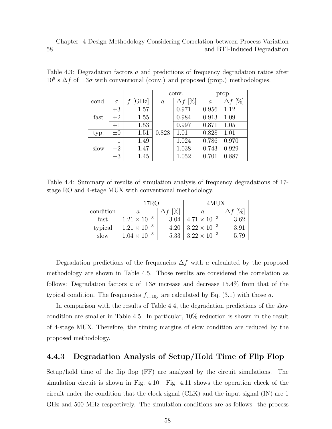|       |          |              | conv.            |        | prop.              |        |
|-------|----------|--------------|------------------|--------|--------------------|--------|
| cond. | $\sigma$ | $[\rm{GHz}]$ | $\boldsymbol{a}$ | $[\%]$ | $\boldsymbol{a}$   | $[\%]$ |
|       | $+3$     | 1.57         |                  | 0.971  | 0.956              | 1.12   |
| fast  | $+2$     | 1.55         |                  | 0.984  | $\overline{0.913}$ | 1.09   |
|       | $+1$     | 1.53         |                  | 0.997  | 0.871              | 1.05   |
| typ.  | $\pm 0$  | 1.51         | 0.828            | 1.01   | 0.828              | 1.01   |
| slow  | $-1$     | 1.49         |                  | 1.024  | 0.786              | 0.970  |
|       | $-2$     | 1.47         |                  | 1.038  | 0.743              | 0.929  |
|       | $-3$     | 1.45         |                  | 1.052  | 0.701              | 0.887  |

Table 4.3: Degradation factors *a* and predictions of frequency degradation ratios after  $10^8$  s  $\Delta f$  of  $\pm 3\sigma$  with conventional (conv.) and proposed (prop.) methodologies.

58

Table 4.4: Summary of results of simulation analysis of frequency degradations of 17 stage RO and 4-stage MUX with conventional methodology.

|           | 17RO                  |      | 4MHX.                 |      |
|-----------|-----------------------|------|-----------------------|------|
| condition |                       |      |                       |      |
| fast      | $1.21 \times 10^{-3}$ | 3.04 | $4.71 \times 10^{-3}$ | 3.62 |
| typical   | $1.21 \times 10^{-3}$ | 4.20 | $3.22 \times 10^{-3}$ | 391  |
| slow      | $1.04 \times 10^{-3}$ | 5.33 | $3.22 \times 10^{-3}$ |      |

Degradation predictions of the frequencies ∆*f* with *a* calculated by the proposed methodology are shown in Table 4.5. Those results are considered the correlation as follows: Degradation factors *a* of  $\pm 3\sigma$  increase and decrease 15.4% from that of the typical condition. The frequencies  $f_{t=10y}$  are calculated by Eq. (3.1) with those *a*.

In comparison with the results of Table 4.4, the degradation predictions of the slow condition are smaller in Table 4.5. In particular, 10% reduction is shown in the result of 4-stage MUX. Therefore, the timing margins of slow condition are reduced by the proposed methodology.

#### **4.4.3 Degradation Analysis of Setup/Hold Time of Flip Flop**

Setup/hold time of the flip flop (FF) are analyzed by the circuit simulations. The simulation circuit is shown in Fig. 4.10. Fig. 4.11 shows the operation check of the circuit under the condition that the clock signal (CLK) and the input signal (IN) are 1 GHz and 500 MHz respectively. The simulation conditions are as follows: the process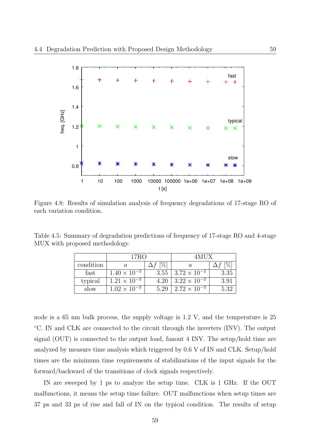

Figure 4.8: Results of simulation analysis of frequency degradations of 17-stage RO of each variation condition.

Table 4.5: Summary of degradation predictions of frequency of 17-stage RO and 4-stage MUX with proposed methodology.

|           | 17RO                  |      | 4MUX                  |      |
|-----------|-----------------------|------|-----------------------|------|
| condition |                       |      |                       |      |
| fast      | $1.40 \times 10^{-3}$ | 3.55 | $3.72 \times 10^{-3}$ | 3.35 |
| typical   | $1.21 \times 10^{-3}$ | 4.20 | $3.22 \times 10^{-3}$ | 3.91 |
| slow      | $1.02 \times 10^{-3}$ | 5.29 | $2.72 \times 10^{-3}$ | 5.32 |

node is a 65 nm bulk process, the supply voltage is 1.2 V, and the temperature is 25 *◦*C. IN and CLK are connected to the circuit through the inverters (INV). The output signal (OUT) is connected to the output load, fanout 4 INV. The setup/hold time are analyzed by measure time analysis which triggered by 0.6 V of IN and CLK. Setup/hold times are the minimum time requirements of stabilizations of the input signals for the forward/backward of the transitions of clock signals respectively.

IN are sweeped by 1 ps to analyze the setup time. CLK is 1 GHz. If the OUT malfunctions, it means the setup time failure. OUT malfunctions when setup times are 37 ps and 33 ps of rise and fall of IN on the typical condition. The results of setup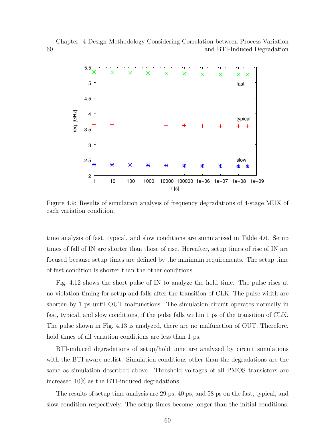

Figure 4.9: Results of simulation analysis of frequency degradations of 4-stage MUX of each variation condition.

time analysis of fast, typical, and slow conditions are summarized in Table 4.6. Setup times of fall of IN are shorter than those of rise. Hereafter, setup times of rise of IN are focused because setup times are defined by the minimum requirements. The setup time of fast condition is shorter than the other conditions.

Fig. 4.12 shows the short pulse of IN to analyze the hold time. The pulse rises at no violation timing for setup and falls after the transition of CLK. The pulse width are shorten by 1 ps until OUT malfunctions. The simulation circuit operates normally in fast, typical, and slow conditions, if the pulse falls within 1 ps of the transition of CLK. The pulse shown in Fig. 4.13 is analyzed, there are no malfunction of OUT. Therefore, hold times of all variation conditions are less than 1 ps.

BTI-induced degradations of setup/hold time are analyzed by circuit simulations with the BTI-aware netlist. Simulation conditions other than the degradations are the same as simulation described above. Threshold voltages of all PMOS transistors are increased 10% as the BTI-induced degradations.

The results of setup time analysis are 29 ps, 40 ps, and 58 ps on the fast, typical, and slow condition respectively. The setup times become longer than the initial conditions.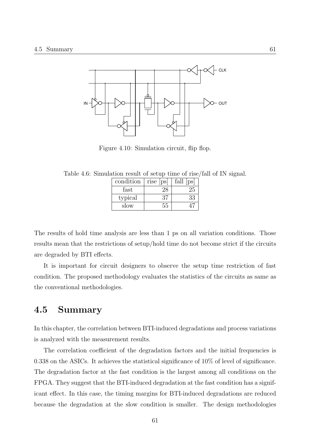

Figure 4.10: Simulation circuit, flip flop.

Table 4.6: Simulation result of setup time of rise/fall of IN signal.

| condition | $rise$ $ ps $ | fall<br> ps |
|-----------|---------------|-------------|
| fast      | ?≻            | 25          |
| typical   | 37            | 33          |
| slow      | 55            |             |

The results of hold time analysis are less than 1 ps on all variation conditions. Those results mean that the restrictions of setup/hold time do not become strict if the circuits are degraded by BTI effects.

It is important for circuit designers to observe the setup time restriction of fast condition. The proposed methodology evaluates the statistics of the circuits as same as the conventional methodologies.

#### **4.5 Summary**

In this chapter, the correlation between BTI-induced degradations and process variations is analyzed with the measurement results.

The correlation coefficient of the degradation factors and the initial frequencies is 0.338 on the ASICs. It achieves the statistical significance of 10% of level of significance. The degradation factor at the fast condition is the largest among all conditions on the FPGA. They suggest that the BTI-induced degradation at the fast condition has a significant effect. In this case, the timing margins for BTI-induced degradations are reduced because the degradation at the slow condition is smaller. The design methodologies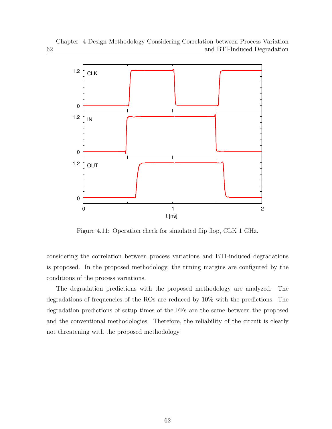

Figure 4.11: Operation check for simulated flip flop, CLK 1 GHz.

considering the correlation between process variations and BTI-induced degradations is proposed. In the proposed methodology, the timing margins are configured by the conditions of the process variations.

The degradation predictions with the proposed methodology are analyzed. The degradations of frequencies of the ROs are reduced by 10% with the predictions. The degradation predictions of setup times of the FFs are the same between the proposed and the conventional methodologies. Therefore, the reliability of the circuit is clearly not threatening with the proposed methodology.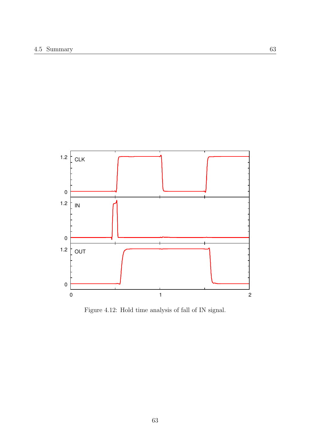

Figure 4.12: Hold time analysis of fall of IN signal.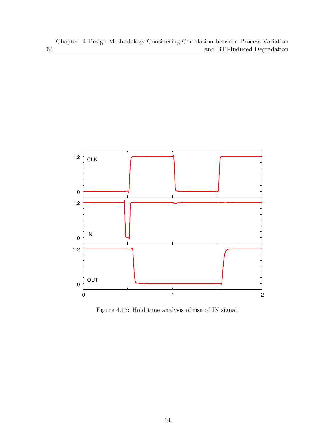64



Figure 4.13: Hold time analysis of rise of IN signal.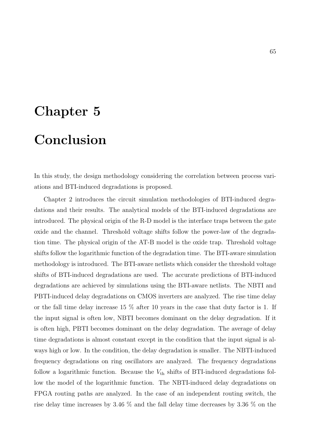# **Chapter 5**

# **Conclusion**

In this study, the design methodology considering the correlation between process variations and BTI-induced degradations is proposed.

Chapter 2 introduces the circuit simulation methodologies of BTI-induced degradations and their results. The analytical models of the BTI-induced degradations are introduced. The physical origin of the R-D model is the interface traps between the gate oxide and the channel. Threshold voltage shifts follow the power-law of the degradation time. The physical origin of the AT-B model is the oxide trap. Threshold voltage shifts follow the logarithmic function of the degradation time. The BTI-aware simulation methodology is introduced. The BTI-aware netlists which consider the threshold voltage shifts of BTI-induced degradations are used. The accurate predictions of BTI-induced degradations are achieved by simulations using the BTI-aware netlists. The NBTI and PBTI-induced delay degradations on CMOS inverters are analyzed. The rise time delay or the fall time delay increase 15 % after 10 years in the case that duty factor is 1. If the input signal is often low, NBTI becomes dominant on the delay degradation. If it is often high, PBTI becomes dominant on the delay degradation. The average of delay time degradations is almost constant except in the condition that the input signal is always high or low. In the condition, the delay degradation is smaller. The NBTI-induced frequency degradations on ring oscillators are analyzed. The frequency degradations follow a logarithmic function. Because the  $V_{th}$  shifts of BTI-induced degradations follow the model of the logarithmic function. The NBTI-induced delay degradations on FPGA routing paths are analyzed. In the case of an independent routing switch, the rise delay time increases by 3.46 % and the fall delay time decreases by 3.36 % on the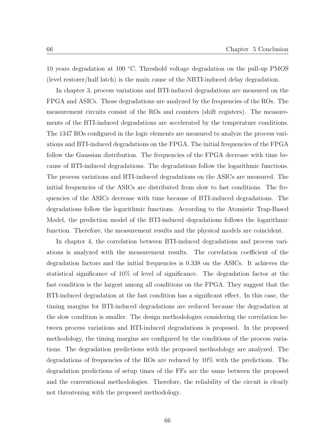10 years degradation at 100 *◦*C. Threshold voltage degradation on the pull-up PMOS (level restorer/half latch) is the main cause of the NBTI-induced delay degradation.

In chapter 3, process variations and BTI-induced degradations are measured on the FPGA and ASICs. Those degradations are analyzed by the frequencies of the ROs. The measurement circuits consist of the ROs and counters (shift registers). The measurements of the BTI-induced degradations are accelerated by the temperature conditions. The 1347 ROs configured in the logic elements are measured to analyze the process variations and BTI-induced degradations on the FPGA. The initial frequencies of the FPGA follow the Gaussian distribution. The frequencies of the FPGA decrease with time because of BTI-induced degradations. The degradations follow the logarithmic functions. The process variations and BTI-induced degradations on the ASICs are measured. The initial frequencies of the ASICs are distributed from slow to fast conditions. The frequencies of the ASICs decrease with time because of BTI-induced degradations. The degradations follow the logarithmic functions. According to the Atomistic Trap-Based Model, the prediction model of the BTI-induced degradations follows the logarithmic function. Therefore, the measurement results and the physical models are coincident.

In chapter 4, the correlation between BTI-induced degradations and process variations is analyzed with the measurement results. The correlation coefficient of the degradation factors and the initial frequencies is 0.338 on the ASICs. It achieves the statistical significance of 10% of level of significance. The degradation factor at the fast condition is the largest among all conditions on the FPGA. They suggest that the BTI-induced degradation at the fast condition has a significant effect. In this case, the timing margins for BTI-induced degradations are reduced because the degradation at the slow condition is smaller. The design methodologies considering the correlation between process variations and BTI-induced degradations is proposed. In the proposed methodology, the timing margins are configured by the conditions of the process variations. The degradation predictions with the proposed methodology are analyzed. The degradations of frequencies of the ROs are reduced by 10% with the predictions. The degradation predictions of setup times of the FFs are the same between the proposed and the conventional methodologies. Therefore, the reliability of the circuit is clearly not threatening with the proposed methodology.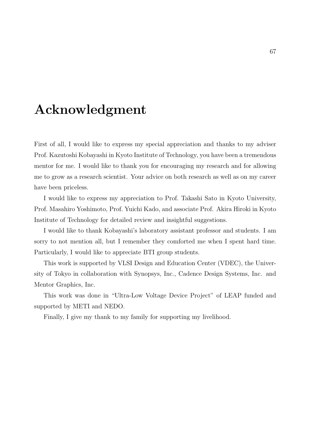# **Acknowledgment**

First of all, I would like to express my special appreciation and thanks to my adviser Prof. Kazutoshi Kobayashi in Kyoto Institute of Technology, you have been a tremendous mentor for me. I would like to thank you for encouraging my research and for allowing me to grow as a research scientist. Your advice on both research as well as on my career have been priceless.

I would like to express my appreciation to Prof. Takashi Sato in Kyoto University, Prof. Masahiro Yoshimoto, Prof. Yuichi Kado, and associate Prof. Akira Hiroki in Kyoto Institute of Technology for detailed review and insightful suggestions.

I would like to thank Kobayashi's laboratory assistant professor and students. I am sorry to not mention all, but I remember they comforted me when I spent hard time. Particularly, I would like to appreciate BTI group students.

This work is supported by VLSI Design and Education Center (VDEC), the University of Tokyo in collaboration with Synopsys, Inc., Cadence Design Systems, Inc. and Mentor Graphics, Inc.

This work was done in "Ultra-Low Voltage Device Project" of LEAP funded and supported by METI and NEDO.

Finally, I give my thank to my family for supporting my livelihood.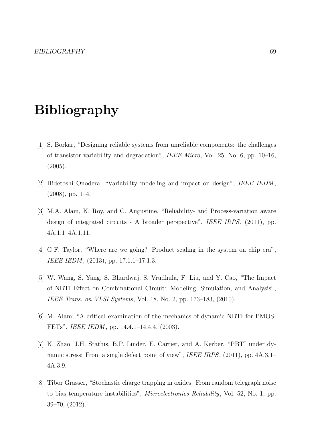# **Bibliography**

- [1] S. Borkar, "Designing reliable systems from unreliable components: the challenges of transistor variability and degradation", *IEEE Micro*, Vol. 25, No. 6, pp. 10–16, (2005).
- [2] Hidetoshi Onodera, "Variability modeling and impact on design", *IEEE IEDM* ,  $(2008)$ , pp. 1–4.
- [3] M.A. Alam, K. Roy, and C. Augustine, "Reliability- and Process-variation aware design of integrated circuits - A broader perspective", *IEEE IRPS*, (2011), pp. 4A.1.1–4A.1.11.
- [4] G.F. Taylor, "Where are we going? Product scaling in the system on chip era", *IEEE IEDM* , (2013), pp. 17.1.1–17.1.3.
- [5] W. Wang, S. Yang, S. Bhardwaj, S. Vrudhula, F. Liu, and Y. Cao, "The Impact of NBTI Effect on Combinational Circuit: Modeling, Simulation, and Analysis", *IEEE Trans. on VLSI Systems*, Vol. 18, No. 2, pp. 173–183, (2010).
- [6] M. Alam, "A critical examination of the mechanics of dynamic NBTI for PMOS-FETs", *IEEE IEDM* , pp. 14.4.1–14.4.4, (2003).
- [7] K. Zhao, J.H. Stathis, B.P. Linder, E. Cartier, and A. Kerber, "PBTI under dynamic stress: From a single defect point of view", *IEEE IRPS*, (2011), pp. 4A.3.1– 4A.3.9.
- [8] Tibor Grasser, "Stochastic charge trapping in oxides: From random telegraph noise to bias temperature instabilities", *Microelectronics Reliability*, Vol. 52, No. 1, pp. 39–70, (2012).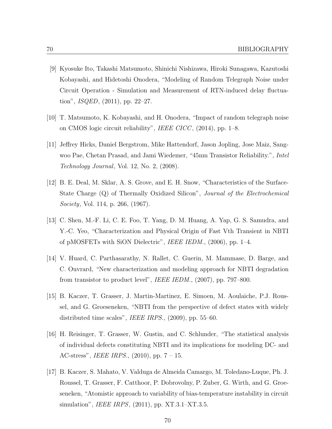- [9] Kyosuke Ito, Takashi Matsumoto, Shinichi Nishizawa, Hiroki Sunagawa, Kazutoshi Kobayashi, and Hidetoshi Onodera, "Modeling of Random Telegraph Noise under Circuit Operation - Simulation and Measurement of RTN-induced delay fluctuation", *ISQED*, (2011), pp. 22–27.
- [10] T. Matsumoto, K. Kobayashi, and H. Onodera, "Impact of random telegraph noise on CMOS logic circuit reliability", *IEEE CICC* , (2014), pp. 1–8.
- [11] Jeffrey Hicks, Daniel Bergstrom, Mike Hattendorf, Jason Jopling, Jose Maiz, Sangwoo Pae, Chetan Prasad, and Jami Wiedemer, "45nm Transistor Reliability.", *Intel Technology Journal*, Vol. 12, No. 2, (2008).
- [12] B. E. Deal, M. Sklar, A. S. Grove, and E. H. Snow, "Characteristics of the Surface-State Charge (Q) of Thermally Oxidized Silicon", *Journal of the Electrochemical Society*, Vol. 114, p. 266, (1967).
- [13] C. Shen, M.-F. Li, C. E. Foo, T. Yang, D. M. Huang, A. Yap, G. S. Samudra, and Y.-C. Yeo, "Characterization and Physical Origin of Fast Vth Transient in NBTI of pMOSFETs with SiON Dielectric", *IEEE IEDM.*, (2006), pp. 1–4.
- [14] V. Huard, C. Parthasarathy, N. Rallet, C. Guerin, M. Mammase, D. Barge, and C. Ouvrard, "New characterization and modeling approach for NBTI degradation from transistor to product level", *IEEE IEDM.*, (2007), pp. 797–800.
- [15] B. Kaczer, T. Grasser, J. Martin-Martinez, E. Simoen, M. Aoulaiche, P.J. Roussel, and G. Groeseneken, "NBTI from the perspective of defect states with widely distributed time scales", *IEEE IRPS.*, (2009), pp. 55–60.
- [16] H. Reisinger, T. Grasser, W. Gustin, and C. Schlunder, "The statistical analysis of individual defects constituting NBTI and its implications for modeling DC- and AC-stress", *IEEE IRPS.*, (2010), pp. 7 – 15.
- [17] B. Kaczer, S. Mahato, V. Valduga de Almeida Camargo, M. Toledano-Luque, Ph. J. Roussel, T. Grasser, F. Catthoor, P. Dobrovolny, P. Zuber, G. Wirth, and G. Groeseneken, "Atomistic approach to variability of bias-temperature instability in circuit simulation", *IEEE IRPS*, (2011), pp. XT.3.1–XT.3.5.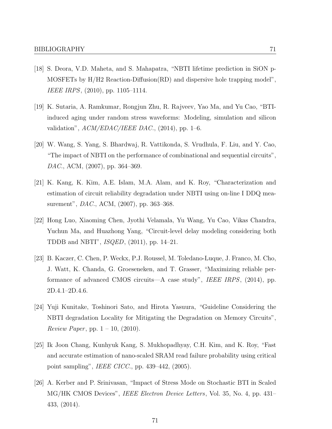- [18] S. Deora, V.D. Maheta, and S. Mahapatra, "NBTI lifetime prediction in SiON p-MOSFETs by H/H2 Reaction-Diffusion(RD) and dispersive hole trapping model", *IEEE IRPS*, (2010), pp. 1105–1114.
- [19] K. Sutaria, A. Ramkumar, Rongjun Zhu, R. Rajveev, Yao Ma, and Yu Cao, "BTIinduced aging under random stress waveforms: Modeling, simulation and silicon validation", *ACM/EDAC/IEEE DAC.*, (2014), pp. 1–6.
- [20] W. Wang, S. Yang, S. Bhardwaj, R. Vattikonda, S. Vrudhula, F. Liu, and Y. Cao, "The impact of NBTI on the performance of combinational and sequential circuits", *DAC.*, ACM, (2007), pp. 364–369.
- [21] K. Kang, K. Kim, A.E. Islam, M.A. Alam, and K. Roy, "Characterization and estimation of circuit reliability degradation under NBTI using on-line I DDQ measurement", *DAC.*, ACM, (2007), pp. 363–368.
- [22] Hong Luo, Xiaoming Chen, Jyothi Velamala, Yu Wang, Yu Cao, Vikas Chandra, Yuchun Ma, and Huazhong Yang, "Circuit-level delay modeling considering both TDDB and NBTI", *ISQED*, (2011), pp. 14–21.
- [23] B. Kaczer, C. Chen, P. Weckx, P.J. Roussel, M. Toledano-Luque, J. Franco, M. Cho, J. Watt, K. Chanda, G. Groeseneken, and T. Grasser, "Maximizing reliable performance of advanced CMOS circuits—A case study", *IEEE IRPS*, (2014), pp. 2D.4.1–2D.4.6.
- [24] Yuji Kunitake, Toshinori Sato, and Hirota Yasuura, "Guideline Considering the NBTI degradation Locality for Mitigating the Degradation on Memory Circuits", *Review Paper* , pp. 1 – 10, (2010).
- [25] Ik Joon Chang, Kunhyuk Kang, S. Mukhopadhyay, C.H. Kim, and K. Roy, "Fast and accurate estimation of nano-scaled SRAM read failure probability using critical point sampling", *IEEE CICC.*, pp. 439–442, (2005).
- [26] A. Kerber and P. Srinivasan, "Impact of Stress Mode on Stochastic BTI in Scaled MG/HK CMOS Devices", *IEEE Electron Device Letters*, Vol. 35, No. 4, pp. 431– 433, (2014).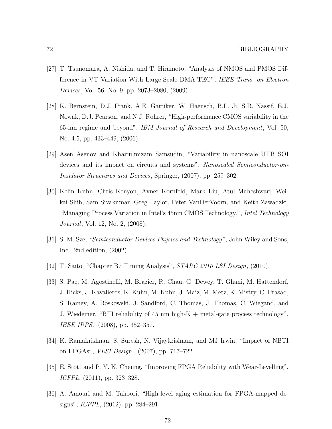- [27] T. Tsunomura, A. Nishida, and T. Hiramoto, "Analysis of NMOS and PMOS Difference in VT Variation With Large-Scale DMA-TEG", *IEEE Trans. on Electron Devices*, Vol. 56, No. 9, pp. 2073–2080, (2009).
- [28] K. Bernstein, D.J. Frank, A.E. Gattiker, W. Haensch, B.L. Ji, S.R. Nassif, E.J. Nowak, D.J. Pearson, and N.J. Rohrer, "High-performance CMOS variability in the 65-nm regime and beyond", *IBM Journal of Research and Development*, Vol. 50, No. 4.5, pp. 433–449, (2006).
- [29] Asen Asenov and Khairulmizam Samsudin, "Variability in nanoscale UTB SOI devices and its impact on circuits and systems", *Nanoscaled Semiconductor-on-Insulator Structures and Devices*, Springer, (2007), pp. 259–302.
- [30] Kelin Kuhn, Chris Kenyon, Avner Kornfeld, Mark Liu, Atul Maheshwari, Weikai Shih, Sam Sivakumar, Greg Taylor, Peter VanDerVoorn, and Keith Zawadzki, "Managing Process Variation in Intel's 45nm CMOS Technology.", *Intel Technology Journal*, Vol. 12, No. 2, (2008).
- [31] S. M. Sze, *"Semiconductor Devices Physics and Technology"*, John Wiley and Sons, Inc., 2nd edition, (2002).
- [32] T. Saito, "Chapter B7 Timing Analysis", *STARC 2010 LSI Design*, (2010).
- [33] S. Pae, M. Agostinelli, M. Brazier, R. Chau, G. Dewey, T. Ghani, M. Hattendorf, J. Hicks, J. Kavalieros, K. Kuhn, M. Kuhn, J. Maiz, M. Metz, K. Mistry, C. Prasad, S. Ramey, A. Roskowski, J. Sandford, C. Thomas, J. Thomas, C. Wiegand, and J. Wiedemer, "BTI reliability of 45 nm high-K + metal-gate process technology", *IEEE IRPS.*, (2008), pp. 352–357.
- [34] K. Ramakrishnan, S. Suresh, N. Vijaykrishnan, and MJ Irwin, "Impact of NBTI on FPGAs", *VLSI Design.*, (2007), pp. 717–722.
- [35] E. Stott and P. Y. K. Cheung, "Improving FPGA Reliability with Wear-Levelling", *ICFPL*, (2011), pp. 323–328.
- [36] A. Amouri and M. Tahoori, "High-level aging estimation for FPGA-mapped designs", *ICFPL*, (2012), pp. 284–291.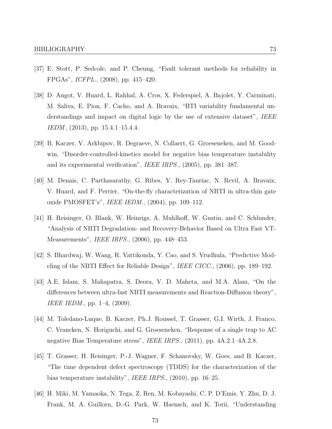- [37] E. Stott, P. Sedcole, and P. Cheung, "Fault tolerant methods for reliability in FPGAs", *ICFPL.*, (2008), pp. 415–420.
- [38] D. Angot, V. Huard, L. Rahhal, A. Cros, X. Federspiel, A. Bajolet, Y. Carminati, M. Saliva, E. Pion, F. Cacho, and A. Bravaix, "BTI variability fundamental understandings and impact on digital logic by the use of extensive dataset", *IEEE IEDM* , (2013), pp. 15.4.1–15.4.4.
- [39] B. Kaczer, V. Arkbipov, R. Degraeve, N. Collaert, G. Groeseneken, and M. Goodwin, "Disorder-controlled-kinetics model for negative bias temperature instability and its experimental verification", *IEEE IRPS.*, (2005), pp. 381–387.
- [40] M. Denais, C. Parthasarathy, G. Ribes, Y. Rey-Tauriac, N. Revil, A. Bravaix, V. Huard, and F. Perrier, "On-the-fly characterization of NBTI in ultra-thin gate oxide PMOSFET's", *IEEE IEDM.*, (2004), pp. 109–112.
- [41] H. Reisinger, O. Blank, W. Heinrigs, A. Muhlhoff, W. Gustin, and C. Schlunder, "Analysis of NBTI Degradation- and Recovery-Behavior Based on Ultra Fast VT-Measurements", *IEEE IRPS.*, (2006), pp. 448–453.
- [42] S. Bhardwaj, W. Wang, R. Vattikonda, Y. Cao, and S. Vrudhula, "Predictive Modeling of the NBTI Effect for Reliable Design", *IEEE CICC.*, (2006), pp. 189–192.
- [43] A.E. Islam, S. Mahapatra, S. Deora, V. D. Maheta, and M.A. Alam, "On the differences between ultra-fast NBTI measurements and Reaction-Diffusion theory", *IEEE IEDM.*, pp. 1–4, (2009).
- [44] M. Toledano-Luque, B. Kaczer, Ph.J. Roussel, T. Grasser, G.I. Wirth, J. Franco, C. Vrancken, N. Horiguchi, and G. Groeseneken, "Response of a single trap to AC negative Bias Temperature stress", *IEEE IRPS.*, (2011), pp. 4A.2.1–4A.2.8.
- [45] T. Grasser, H. Reisinger, P.-J. Wagner, F. Schanovsky, W. Goes, and B. Kaczer, "The time dependent defect spectroscopy (TDDS) for the characterization of the bias temperature instability", *IEEE IRPS.*, (2010), pp. 16–25.
- [46] H. Miki, M. Yamaoka, N. Tega, Z. Ren, M. Kobayashi, C. P. D'Emis, Y. Zhu, D. J. Frank, M. A. Guillorn, D.-G. Park, W. Haensch, and K. Torii, "Understanding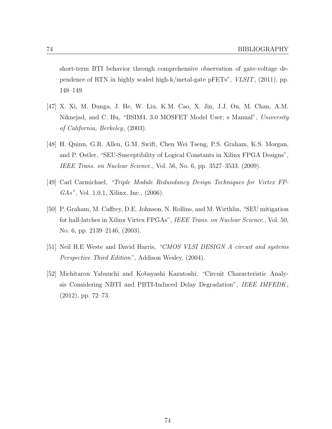short-term BTI behavior through comprehensive observation of gate-voltage dependence of RTN in highly scaled high-k/metal-gate pFETs", *VLSIT*, (2011), pp. 148–149.

- [47] X. Xi, M. Dunga, J. He, W. Liu, K.M. Cao, X. Jin, J.J. Ou, M. Chan, A.M. Niknejad, and C. Hu, "BSIM4. 3.0 MOSFET Model User; s Manual", *University of California, Berkeley*, (2003).
- [48] H. Quinn, G.R. Allen, G.M. Swift, Chen Wei Tseng, P.S. Graham, K.S. Morgan, and P. Ostler, "SEU-Susceptibility of Logical Constants in Xilinx FPGA Designs", *IEEE Trans. on Nuclear Science.*, Vol. 56, No. 6, pp. 3527–3533, (2009).
- [49] Carl Carmichael, *"Triple Module Redundancy Design Techniques for Virtex FP-GAs"*, Vol. 1.0.1, Xilinx, Inc., (2006).
- [50] P. Graham, M. Caffrey, D.E. Johnson, N. Rollins, and M. Wirthlin, "SEU mitigation for half-latches in Xilinx Virtex FPGAs", *IEEE Trans. on Nuclear Science.*, Vol. 50, No. 6, pp. 2139–2146, (2003).
- [51] Neil H.E Weste and David Harris, *"CMOS VLSI DESIGN A circuit and systems Perspective Third Edition"*, Addison Wesley, (2004).
- [52] Michitarou Yabuuchi and Kobayashi Kazutoshi, "Circuit Characteristic Analysis Considering NBTI and PBTI-Induced Delay Degradation", *IEEE IMFEDK*, (2012), pp. 72–73.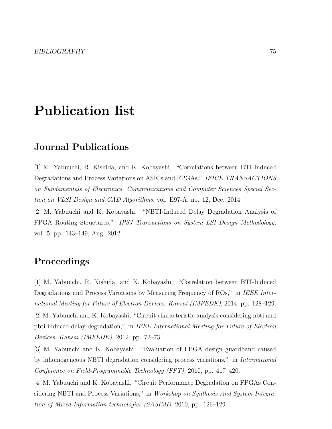## **Publication list**

### **Journal Publications**

[1] M. Yabuuchi, R. Kishida, and K. Kobayashi, "Correlations between BTI-Induced Degradations and Process Variations on ASICs and FPGAs," *IEICE TRANSACTIONS on Fundamentals of Electronics, Communications and Computer Sciences Special Section on VLSI Design and CAD Algorithms*, vol. E97-A, no. 12, Dec. 2014.

[2] M. Yabuuchi and K. Kobayashi, "NBTI-Induced Delay Degradation Analysis of FPGA Routing Structures," *IPSJ Transactions on System LSI Design Methodology*, vol. 5, pp. 143–149, Aug. 2012.

### **Proceedings**

[1] M. Yabuuchi, R. Kishida, and K. Kobayashi, "Correlation between BTI-Induced Degradations and Process Variations by Measuring Frequency of ROs," in *IEEE International Meeting for Future of Electron Devices, Kansai (IMFEDK)*, 2014, pp. 128–129.

[2] M. Yabuuchi and K. Kobayashi, "Circuit characteristic analysis considering nbti and pbti-induced delay degradation," in *IEEE International Meeting for Future of Electron Devices, Kansai (IMFEDK)*, 2012, pp. 72–73.

[3] M. Yabuuchi and K. Kobayashi, "Evaluation of FPGA design guardband caused by inhomogeneous NBTI degradation considering process variations," in *International Conference on Field-Programmable Technology (FPT)*, 2010, pp. 417–420.

[4] M. Yabuuchi and K. Kobayashi, "Circuit Performance Degradation on FPGAs Considering NBTI and Process Variations," in *Workshop on Synthesis And System Integration of Mixed Information technologies (SASIMI)*, 2010, pp. 126–129.